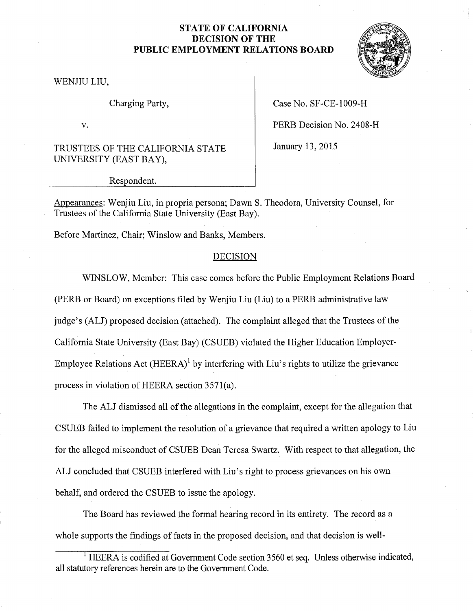## STATE OF CALIFORNIA DECISION OF THE PUBLIC EMPLOYMENT RELATIONS BOARD



WENJIU LIU,

TRUSTEES OF THE CALIFORNIA STATE January 13, 2015 UNIVERSITY (EAST BAY),

Charging Party, Case No. SF-CE-1009-H

v. PERB Decision No. 2408-H

Respondent.

Appearances: Wenjiu Liu, in propria persona; Dawn S. Theodora, University Counsel, for Trustees of the California State University (East Bay).

Before Martinez, Chair; Winslow and Banks, Members.

# DECISION

WINSLOW, Member: This case comes before the Public Employment Relations Board (PERB or Board) on exceptions filed by Wenjiu Liu (Liu) to a PERB administrative law judge's (ALJ) proposed decision (attached). The complaint alleged that the Trustees of the California State University (East Bay) (CSUEB) violated the Higher Education Employer-Employee Relations Act  $(HEERA)^{1}$  by interfering with Liu's rights to utilize the grievance process in violation of HEERA section 3571(a).

The ALJ dismissed all of the allegations in the complaint, except for the allegation that CSUEB failed to implement the resolution of a grievance that required a written apology to Liu for the alleged misconduct of CSUEB Dean Teresa Swartz. With respect to that allegation, the ALJ concluded that CSUEB interfered with Liu's right to process grievances on his own behalf, and ordered the CSUEB to issue the apology.

The Board has reviewed the formal hearing record in its entirety. The record as a whole supports the findings of facts in the proposed decision, and that decision is well-

 $\frac{1}{1}$  HEERA is codified at Government Code section 3560 et seq. Unless otherwise indicated, all statutory references herein are to the Government Code.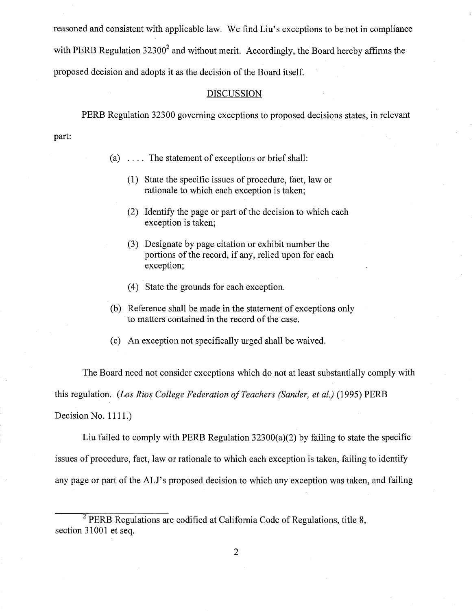reasoned and consistent with applicable law. We find Liu's exceptions to be not in compliance with PERB Regulation  $32300^2$  and without merit. Accordingly, the Board hereby affirms the proposed decision and adopts it as the decision of the Board itself.

### DISCUSSION

PERB Regulation 32300 governing exceptions to proposed decisions states, in relevant

part:

- (a) . .. . The statement of exceptions or brief shall:
	- (1) State the specific issues of procedure, fact, law or rationale to which each exception is taken;
	- (2) Identify the page or part of the decision to which each exception is taken;
	- (3) Designate by page citation or exhibit number the portions of the record, if any, relied upon for each exception;
	- (4) State the grounds for each exception.
- (b) Reference shall be made in the statement of exceptions only to matters contained in the record of the case.
- (c) An exception not specifically urged shall be waived.

The Board need not consider exceptions which do not at least substantially comply with this regulation. (Los Rios College Federation of Teachers (Sander, et al.) (1995) PERB Decision No. 1111.)

Liu failed to comply with PERB Regulation 32300(a)(2) by failing to state the specific issues of procedure, fact, law or rationale to which each exception is taken, failing to identify any page or part of the ALJ's proposed decision to which any exception was taken, and failing

 $<sup>2</sup>$  PERB Regulations are codified at California Code of Regulations, title 8,</sup> section 31001 et seq.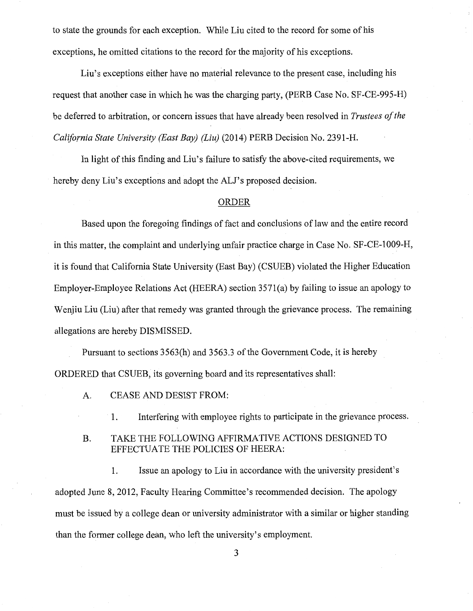to state the grounds for each exception. While Liu cited to the record for some of his exceptions, he omitted citations to the record for the majority of his exceptions.

Liu's exceptions either have no material relevance to the present case, including his request that another case in which he was the charging party, (PERB Case No. SF-CE-995-H) be deferred to arbitration, or concern issues that have already been resolved in Trustees of the California State University (East Bay) (Liu) (2014) PERB Decision No. 2391-H.

In light of this finding and Liu's failure to satisfy the above-cited requirements, we hereby deny Liu's exceptions and adopt the ALJ's proposed decision.

## ORDER

Based upon the foregoing findings of fact and conclusions of law and the entire record in this matter, the complaint and underlying unfair practice charge in Case No. SF-CE-1009-H, it is found that California State University (East Bay) (CSUEB) violated the Higher Education Employer-Employee Relations Act (HEERA) section 3571(a) by failing to issue an apology to Wenjiu Liu (Liu) after that remedy was granted through the grievance process. The remaining allegations are hereby DISMISSED.

Pursuant to sections 3563(h) and 3563.3 of the Government Code, it is hereby ORDERED that CSUEB, its governing board and its representatives shall:

A. CEASE AND DESIST FROM:

1. Interfering with employee rights to participate in the grievance process.

B. TAKE THE FOLLOWING AFFIRMATIVE ACTIONS DESIGNED TO EFFECTUATE THE POLICIES OF HEERA:

1. Issue an apology to Liu in accordance with the university president's adopted June 8, 2012, Faculty Hearing Committee's recommended decision. The apology must be issued by a college dean or university administrator with a similar or higher standing than the former college dean, who left the university's employment.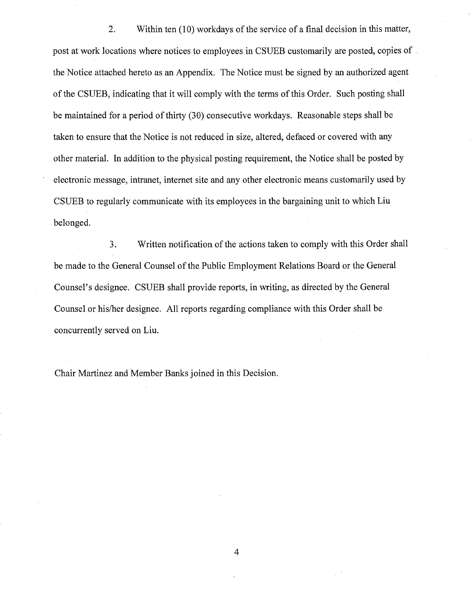2. Within ten (10) workdays of the service of a final decision in this matter, post at work locations where notices to employees in CSUEB customarily are posted, copies of the Notice attached hereto as an Appendix. The Notice must be signed by an authorized agent of the CSUEB, indicating that it will comply with the terms of this Order. Such posting shall be maintained for a period of thirty (30) consecutive workdays. Reasonable steps shall be taken to ensure that the Notice is not reduced in size, altered, defaced or covered with any other material. In addition to the physical posting requirement, the Notice shall be posted by electronic message, intranet, internet site and any other electronic means customarily used by CSUEB to regularly communicate with its employees in the bargaining unit to which Liu belonged.

3 . Written notification of the actions taken to comply with this Order shall be made to the General Counsel of the Public Employment Relations Board or the General Counsel's designee. CSUEB shall provide reports, in writing, as directed by the General Counsel or his/her designee. All reports regarding compliance with this Order shall be concurrently served on Liu.

Chair Martinez and Member Banks joined in this Decision.

A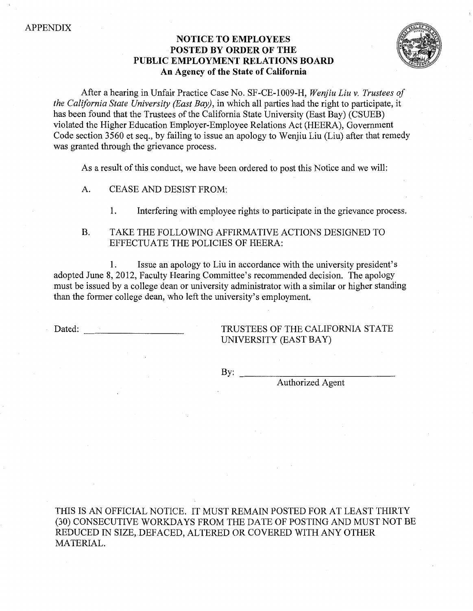# NOTICE TO EMPLOYEES POSTED BY ORDER OF THE PUBLIC EMPLOYMENT RELATIONS BOARD An Agency of the State of California



After a hearing in Unfair Practice Case No. SF-CE-1009-H, Wenjiu Liu v. Trustees of the California State University (East Bay), in which all parties had the right to participate, it has been found that the Trustees of the California State University (East Bay) (CSUEB) violated the Higher Education Employer-Employee Relations Act (HEERA), Government Code section 3560 et seq., by failing to issue an apology to Wenjiu Liu (Liu) after that remedy was granted through the grievance process.

As a result of this conduct, we have been ordered to post this Notice and we will:

A. CEASE AND DESIST FROM:

1. Interfering with employee rights to participate in the grievance process.

B. TAKE THE FOLLOWING AFFIRMATIVE ACTIONS DESIGNED TO EFFECTUATE THE POLICIES OF HEERA:

1. Issue an apology to Liu in accordance with the university president's adopted June 8, 2012, Faculty Hearing Committee's recommended decision. The apology must be issued by a college dean or university administrator with a similar or higher standing than the former college dean, who left the university's employment.

# Dated: TRUSTEES OF THE CALIFORNIA STATE UNIVERSITY (EAST BAY)

 $By:$ 

Authorized Agent

THIS IS AN OFFICIAL NOTICE. IT MUST REMAIN POSTED FOR AT LEAST THIRTY (30) CONSECUTIVE WORKDAYS FROM THE DATE OF POSTING AND MUST NOT BE REDUCED IN SIZE, DEFACED, ALTERED OR COVERED WITH ANY OTHER MATERIAL.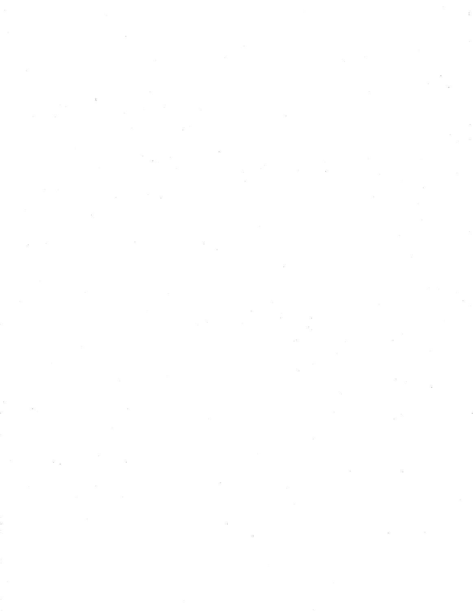$\hat{I}$  $\label{eq:2.1} \frac{d\mathbf{r}}{d\mathbf{r}} = \frac{1}{2} \sum_{i=1}^n \frac{d\mathbf{r}}{d\mathbf{r}} \left( \frac{d\mathbf{r}}{d\mathbf{r}} \right)^2 \left( \frac{d\mathbf{r}}{d\mathbf{r}} \right)^2 \left( \frac{d\mathbf{r}}{d\mathbf{r}} \right)^2 \left( \frac{d\mathbf{r}}{d\mathbf{r}} \right)^2 \left( \frac{d\mathbf{r}}{d\mathbf{r}} \right)^2 \left( \frac{d\mathbf{r}}{d\mathbf{r}} \right)^2 \left( \frac{d\$  $\label{eq:2.1} \frac{1}{\sqrt{2\pi}}\int_{\mathbb{R}^3}\frac{1}{\sqrt{2\pi}}\int_{\mathbb{R}^3}\frac{1}{\sqrt{2\pi}}\int_{\mathbb{R}^3}\frac{1}{\sqrt{2\pi}}\int_{\mathbb{R}^3}\frac{1}{\sqrt{2\pi}}\int_{\mathbb{R}^3}\frac{1}{\sqrt{2\pi}}\int_{\mathbb{R}^3}\frac{1}{\sqrt{2\pi}}\int_{\mathbb{R}^3}\frac{1}{\sqrt{2\pi}}\int_{\mathbb{R}^3}\frac{1}{\sqrt{2\pi}}\int_{\mathbb{R}^3}\frac{1$  $\label{eq:2.1} \mathcal{L}_{\mathcal{A}}(\mathcal{A})=\mathcal{L}_{\mathcal{A}}(\mathcal{A})\otimes\mathcal{L}_{\mathcal{A}}(\mathcal{A})\otimes\mathcal{L}_{\mathcal{A}}(\mathcal{A}).$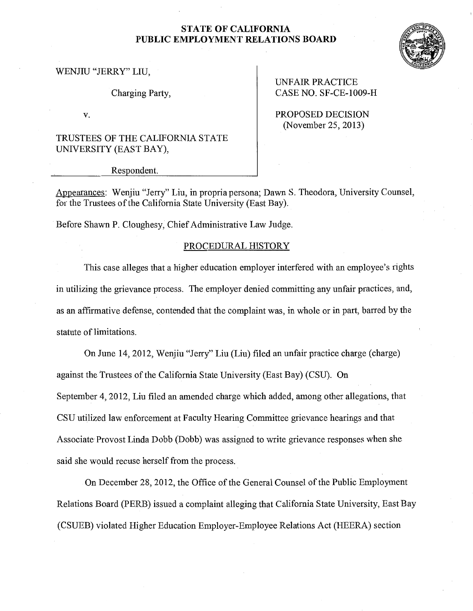# STATE OF CALIFORNIA PUBLIC EMPLOYMENT RELATIONS BOARD



### WENJIU "JERRY" LIU,

TRUSTEES OF THE CALIFORNIA STATE UNIVERSITY (EAST BAY),

Respondent.

UNFAIR PRACTICE Charging Party, CASE NO. SF-CE-1009-H

v. (November 25, 2013)

Appearances: Wenjiu "Jerry" Liu, in propria persona; Dawn S. Theodora, University Counsel, for the Trustees of the California State University (East Bay).

Before Shawn P. Cloughesy, Chief Administrative Law Judge.

## PROCEDURAL HISTORY

This case alleges that a higher education employer interfered with an employee's rights in utilizing the grievance process. The employer denied committing any unfair practices, and, as an affirmative defense, contended that the complaint was, in whole or in part, barred by the statute of limitations.

On June 14, 2012, Wenjiu "Jerry" Liu (Liu) filed an unfair practice charge (charge) against the Trustees of the California State University (East Bay) (CSU). On September 4, 2012, Liu filed an amended charge which added, among other allegations, that CSU utilized law enforcement at Faculty Hearing Committee grievance hearings and that Associate Provost Linda Dobb (Dobb) was assigned to write grievance responses when she said she would recuse herself from the process.

On December 28, 2012, the Office of the General Counsel of the Public Employment Relations Board (PERB) issued a complaint alleging that California State University, East Bay (CSUEB) violated Higher Education Employer-Employee Relations Act (HEERA) section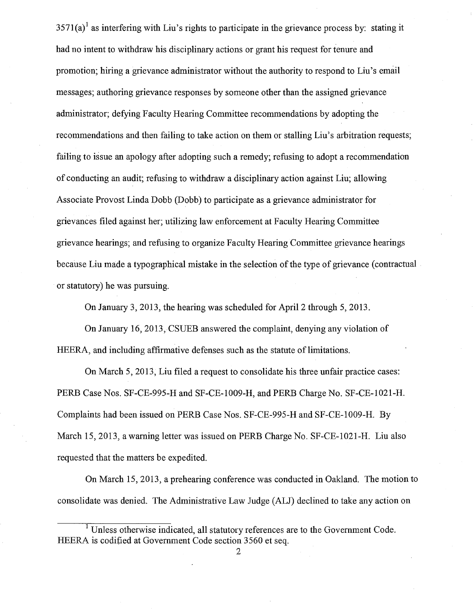$3571(a)$ <sup>1</sup> as interfering with Liu's rights to participate in the grievance process by: stating it had no intent to withdraw his disciplinary actions or grant his request for tenure and promotion; hiring a grievance administrator without the authority to respond to Liu's email messages; authoring grievance responses by someone other than the assigned grievance administrator; defying Faculty Hearing Committee recommendations by adopting the recommendations and then failing to take action on them or stalling Liu's arbitration requests; failing to issue an apology after adopting such a remedy; refusing to adopt a recommendation of conducting an audit; refusing to withdraw a disciplinary action against Liu; allowing Associate Provost Linda Dobb (Dobb) to participate as a grievance administrator for grievances filed against her; utilizing law enforcement at Faculty Hearing Committee grievance hearings; and refusing to organize Faculty Hearing Committee grievance hearings because Liu made a typographical mistake in the selection of the type of grievance (contractual or statutory) he was pursuing.

On January 3, 2013, the hearing was scheduled for April 2 through 5, 2013.

On January 16, 2013, CSUEB answered the complaint, denying any violation of HEERA, and including affirmative defenses such as the statute of limitations.

On March 5, 2013, Liu filed a request to consolidate his three unfair practice cases: PERB Case Nos. SF-CE-995-H and SF-CE-1009-H, and PERB Charge No. SF-CE-1021-H. Complaints had been issued on PERB Case Nos. SF-CE-995-H and SF-CE-1009-H. By March 15, 2013, a warning letter was issued on PERB Charge No. SF-CE-1021-H. Liu also requested that the matters be expedited.

On March 15, 2013, a prehearing conference was conducted in Oakland. The motion to consolidate was denied. The Administrative Law Judge (ALI) declined to take any action on

 $\frac{1}{1}$  Unless otherwise indicated, all statutory references are to the Government Code. HEERA is codified at Government Code section 3560 et seq.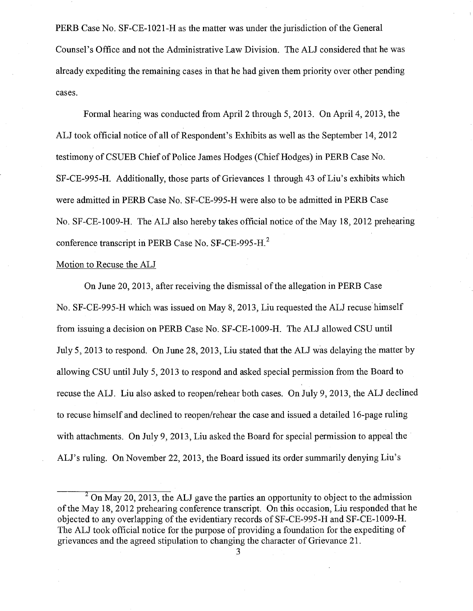PERB Case No. SF-CE-1021-H as the matter was under the jurisdiction of the General Counsel's Office and not the Administrative Law Division. The ALJ considered that he was already expediting the remaining cases in that he had given them priority over other pending cases.

Formal hearing was conducted from April 2 through 5, 2013. On April 4, 2013, the ALJ took official notice of all of Respondent's Exhibits as well as the September 14, 2012 testimony of CSUEB Chief of Police James Hodges (Chief Hodges) in PERB Case No. SF-CE-995-H. Additionally, those parts of Grievances 1 through 43 of Liu's exhibits which were admitted in PERB Case No. SF-CE-995-H were also to be admitted in PERB Case No. SF-CE-1009-H. The ALJ also hereby takes official notice of the May 18, 2012 prehearing conference transcript in PERB Case No. SF-CE-995-H.

## Motion to Recuse the ALI

On June 20, 2013, after receiving the dismissal of the allegation in PERB Case No. SF-CE-995-H which was issued on May 8, 2013, Liu requested the ALJ recuse himself from issuing a decision on PERB Case No. SF-CE-1009-H. The ALJ allowed CSU until July 5, 2013 to respond. On June 28, 2013, Liu stated that the ALJ was delaying the matter by allowing CSU until July 5, 2013 to respond and asked special permission from the Board to recuse the ALJ. Liu also asked to reopen/rehear both cases. On July 9, 2013, the ALJ declined to recuse himself and declined to reopen/rehear the case and issued a detailed 16-page ruling with attachments. On July 9, 2013, Liu asked the Board for special permission to appeal the ALJ's ruling. On November 22, 2013, the Board issued its order summarily denying Liu's

 $^{2}$  On May 20, 2013, the ALJ gave the parties an opportunity to object to the admission of the May 18, 2012 prehearing conference transcript. On this occasion, Liu responded that he objected to any overlapping of the evidentiary records of SF-CE-995-H and SF-CE-1009-H. The ALJ took official notice for the purpose of providing a foundation for the expediting of grievances and the agreed stipulation to changing the character of Grievance 21.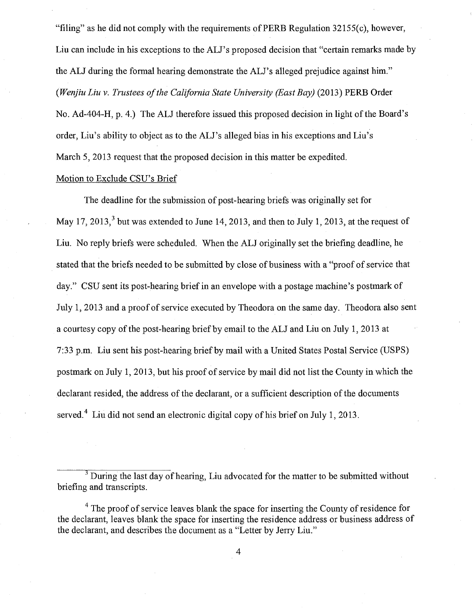"filing" as he did not comply with the requirements of PERB Regulation  $32155(c)$ , however, Liu can include in his exceptions to the ALJ's proposed decision that "certain remarks made by the ALJ during the formal hearing demonstrate the ALJ's alleged prejudice against him." (Wenjiu Liu v. Trustees of the California State University (East Bay) (2013) PERB Order No. Ad-404-H, p. 4.) The ALJ therefore issued this proposed decision in light of the Board's order, Liu's ability to object as to the ALJ's alleged bias in his exceptions and Liu's March 5, 2013 request that the proposed decision in this matter be expedited.

### Motion to Exclude CSU's Brief

The deadline for the submission of post-hearing briefs was originally set for May 17, 2013, $^3$  but was extended to June 14, 2013, and then to July 1, 2013, at the request of Liu. No reply briefs were scheduled. When the ALJ originally set the briefing deadline, he stated that the briefs needed to be submitted by close of business with a "proof of service that day." CSU sent its post-hearing brief in an envelope with a postage machine's postmark of July 1, 2013 and a proof of service executed by Theodora on the same day. Theodora also sent a courtesy copy of the post-hearing brief by email to the ALJ and Liu on July 1, 2013 at 7:33 p.m. Liu sent his post-hearing brief by mail with a United States Postal Service (USPS) postmark on July 1, 2013, but his proof of service by mail did not list the County in which the declarant resided, the address of the declarant, or a sufficient description of the documents served.<sup>4</sup> Liu did not send an electronic digital copy of his brief on July 1, 2013.

 $3$  During the last day of hearing. Liu advocated for the matter to be submitted without briefing and transcripts.

 $<sup>4</sup>$  The proof of service leaves blank the space for inserting the County of residence for</sup> the declarant, leaves blank the space for inserting the residence address or business address of the declarant, and describes the document as a "Letter by Jerry Liu."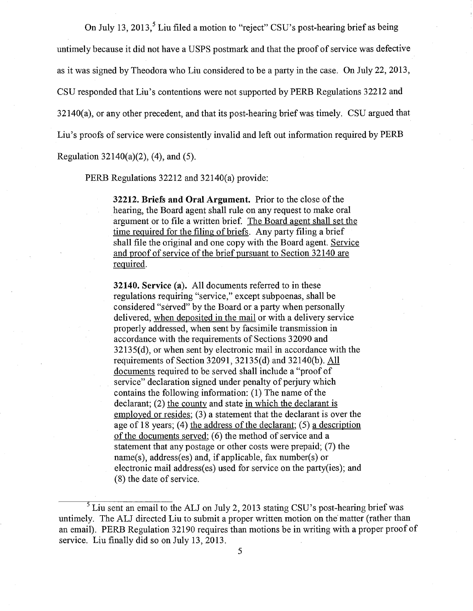On July 13, 2013,' Liu filed a motion to "reject" CSU's post-hearing brief as being untimely because it did not have a USPS postmark and that the proof of service was defective as it was signed by Theodora who Liu considered to be a party in the case. On July 22, 2013, CSU responded that Liu's contentions were not supported by PERB Regulations 32212 and 32140(a), or any other precedent, and that its post-hearing brief was timely. CSU argued that Liu's proofs of service were consistently invalid and left out information required by PERB Regulation 32140(a)(2), (4), and (5).

PERB Regulations 32212 and 32140(a) provide:

32212. Briefs and Oral Argument. Prior to the close of the hearing, the Board agent shall rule on any request to make oral argument or to file a written brief. The Board agent shall set the time required for the filing of briefs. Any party filing a brief shall file the original and one copy with the Board agent. Service and proof of service of the brief pursuant to Section 32140 are required.

32140. Service (a). All documents referred to in these regulations requiring "service," except subpoenas, shall be considered "served" by the Board or a party when personally delivered, when deposited in the mail or with a delivery service properly addressed, when sent by facsimile transmission in accordance with the requirements of Sections 32090 and 32135(d), or when sent by electronic mail in accordance with the requirements of Section 32091, 32135(d) and 32140(b). All documents required to be served shall include a "proof of service" declaration signed under penalty of perjury which contains the following information: (1) The name of the declarant; (2) the county and state in which the declarant is employed or resides; (3) a statement that the declarant is over the age of 18 years; (4) the address of the declarant; (5) a description of the documents served; (6) the method of service and a statement that any postage or other costs were prepaid; (7) the name(s), address(es) and, if applicable, fax number(s) or electronic mail address(es) used for service on the party(ies); and (8) the date of service.

 $\frac{5 \text{ Liu sent an email to the ALJ on July 2, 2013 stating CSU's post-hearing brief was}}{2 \text{ No.}}$ untimely. The ALJ directed Liu to submit a proper written motion on the matter (rather than an email). PERB Regulation 32190 requires than motions be in writing with a proper proof of service. Liu finally did so on July 13, 2013.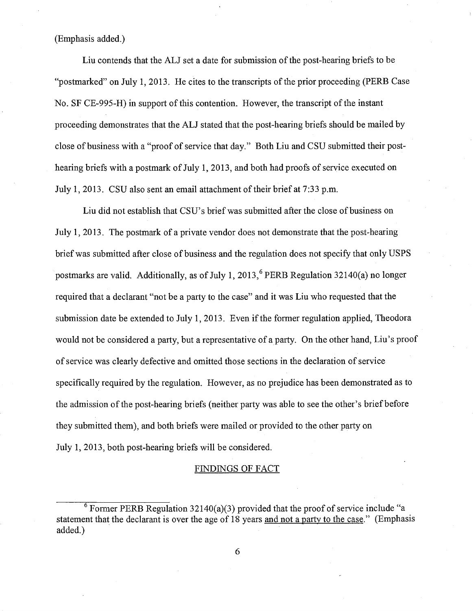(Emphasis added.)

Liu contends that the ALJ set a date for submission of the post-hearing briefs to be "postmarked" on July 1, 2013. He cites to the transcripts of the prior proceeding (PERB Case No. SF CE-995-H) in support of this contention. However, the transcript of the instant proceeding demonstrates that the ALJ stated that the post-hearing briefs should be mailed by close of business with a "proof of service that day." Both Liu and CSU submitted their posthearing briefs with a postmark of July 1, 2013, and both had proofs of service executed on July 1, 2013. CSU also sent an email attachment of their brief at 7:33 p.m.

Liu did not establish that CSU's brief was submitted after the close of business on July 1, 2013. The postmark of a private vendor does not demonstrate that the post-hearing brief was submitted after close of business and the regulation does not specify that only USPS postmarks are valid. Additionally, as of July 1, 2013,  $6$  PERB Regulation 32140(a) no longer required that a declarant "not be a party to the case" and it was Liu who requested that the submission date be extended to July 1, 2013. Even if the former regulation applied, Theodora would not be considered a party, but a representative of a party. On the other hand, Liu's proof of service was clearly defective and omitted those sections in the declaration of service specifically required by the regulation. However, as no prejudice has been demonstrated as to the admission of the post-hearing briefs (neither party was able to see the other's brief before they submitted them), and both briefs were mailed or provided to the other party on July 1, 2013, both post-hearing briefs will be considered.

#### FINDINGS OF FACT

 $6$  Former PERB Regulation 32140(a)(3) provided that the proof of service include "a statement that the declarant is over the age of 18 years and not a party to the case." (Emphasis added.)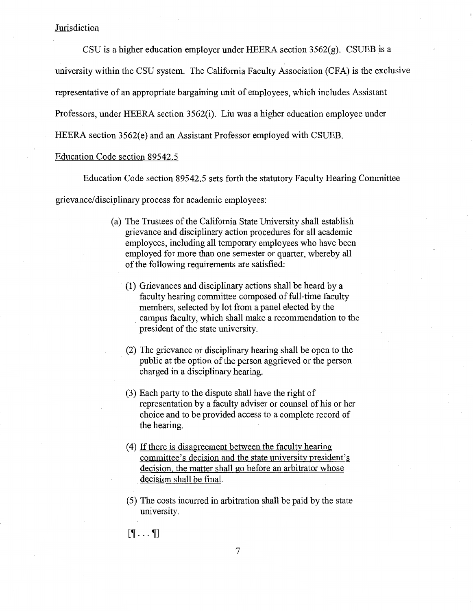## **Jurisdiction**

CSU is a higher education employer under HEERA section  $3562(g)$ . CSUEB is a university within the CSU system. The California Faculty Association (CFA) is the exclusive representative of an appropriate bargaining unit of employees, which includes Assistant Professors, under HEERA section 3562(i). Liu was a higher education employee under HEERA section 3562(e) and an Assistant Professor employed with CSUEB.

## Education Code section 89542.5

Education Code section 89542.5 sets forth the statutory Faculty Hearing Committee

grievance/disciplinary process for academic employees:

- (a) The Trustees of the California State University shall establish grievance and disciplinary action procedures for all academic employees, including all temporary employees who have been employed for more than one semester or quarter, whereby all of the following requirements are satisfied:
	- (1) Grievances and disciplinary actions shall be heard by a faculty hearing committee composed of full-time faculty members, selected by lot from a panel elected by the campus faculty, which shall make a recommendation to the president of the state university.
	- (2) The grievance or disciplinary hearing shall be open to the public at the option of the person aggrieved or the person charged in a disciplinary hearing.
	- (3) Each party to the dispute shall have the right of representation by a faculty adviser or counsel of his or her choice and to be provided access to a complete record of the hearing.
	- (4) If there is disagreement between the faculty hearing committee's decision and the state university president's decision, the matter shall go before an arbitrator whose decision shall be final.
	- (5) The costs incurred in arbitration shall be paid by the state university.
	- $[$ [ $\cdot$ ...]]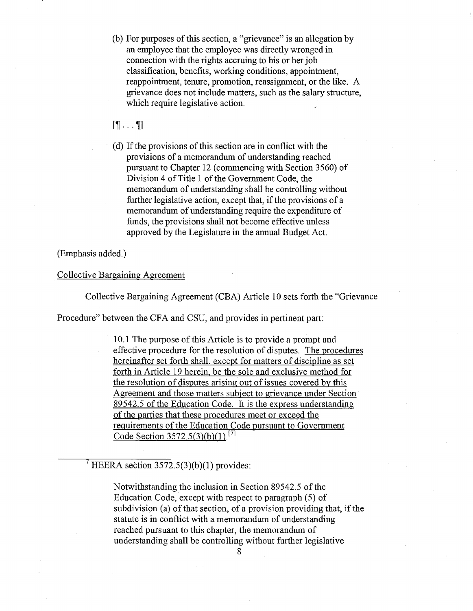(b) For purposes of this section, a "grievance" is an allegation by an employee that the employee was directly wronged in connection with the rights accruing to his or her job classification, benefits, working conditions, appointment, reappointment, tenure, promotion, reassignment, or the like. A grievance does not include matters, such as the salary structure, which require legislative action.

### $[T \dots T]$

(d) If the provisions of this section are in conflict with the provisions of a memorandum of understanding reached pursuant to Chapter 12 (commencing with Section 3560) of Division 4 of Title 1 of the Government Code, the memorandum of understanding shall be controlling without further legislative action, except that, if the provisions of a memorandum of understanding require the expenditure of funds, the provisions shall not become effective unless approved by the Legislature in the annual Budget Act.

(Emphasis added.)

## Collective Bargaining Agreement

Collective Bargaining Agreement (CBA) Article 10 sets forth the "Grievance

Procedure" between the CFA and CSU, and provides in pertinent part:

10.1 The purpose of this Article is to provide a prompt and effective procedure for the resolution of disputes. The procedures hereinafter set forth shall, except for matters of discipline as set forth in Article 19 herein, be the sole and exclusive method for the resolution of disputes arising out of issues covered by this Agreement and those matters subject to grievance under Section 89542.5 of the Education Code. It is the express understanding of the parties that these procedures meet or exceed the requirements of the Education Code pursuant to Government Code Section  $3572.5(3)(b)(1)$ .<sup>[7]</sup>

<sup>7</sup> HEERA section 3572.5(3)(b)(1) provides:

Notwithstanding the inclusion in Section 89542.5 of the Education Code, except with respect to paragraph (5) of subdivision (a) of that section, of a provision providing that, if the statute is in conflict with a memorandum of understanding reached pursuant to this chapter, the memorandum of understanding shall be controlling without further legislative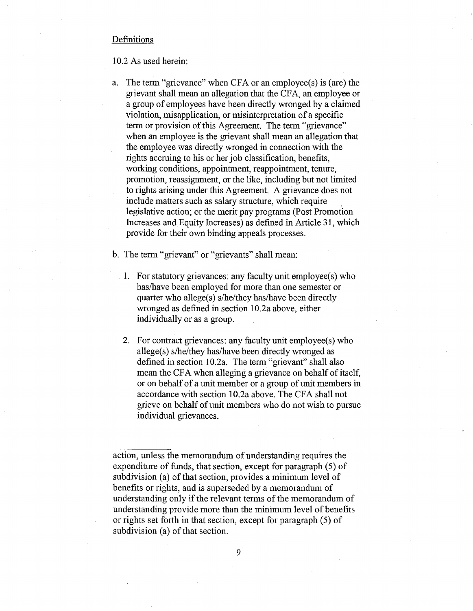## Definitions

## 10.2 As used herein:

a. The term "grievance" when CFA or an employee(s) is (are) the grievant shall mean an allegation that the CFA, an employee or a group of employees have been directly wronged by a claimed violation, misapplication, or misinterpretation of a specific term or provision of this Agreement. The term "grievance" when an employee is the grievant shall mean an allegation that the employee was directly wronged in connection with the rights accruing to his or her job classification, benefits, working conditions, appointment, reappointment, tenure, promotion, reassignment, or the like, including but not limited to rights arising under this Agreement. A grievance does not include matters such as salary structure, which require legislative action; or the merit pay programs (Post Promotion Increases and Equity Increases) as defined in Article 31, which provide for their own binding appeals processes.

b. The term "grievant" or "grievants" shall mean:

- 1. For statutory grievances: any faculty unit employee(s) who has/have been employed for more than one semester or quarter who allege(s) s/he/they has/have been directly wronged as defined in section 10.2a above, either individually or as a group.
- 2. For contract grievances: any faculty unit employee(s) who allege(s) s/he/they has/have been directly wronged as defined in section 10.2a. The term "grievant" shall also mean the CFA when alleging a grievance on behalf of itself, or on behalf of a unit member or a group of unit members in accordance with section 10.2a above. The CFA shall not grieve on behalf of unit members who do not wish to pursue individual grievances.

action, unless the memorandum of understanding requires the expenditure of funds, that section, except for paragraph (5) of subdivision (a) of that section, provides a minimum level of benefits or rights, and is superseded by a memorandum of understanding only if the relevant terms of the memorandum of understanding provide more than the minimum level of benefits or rights set forth in that section, except for paragraph (5) of subdivision (a) of that section.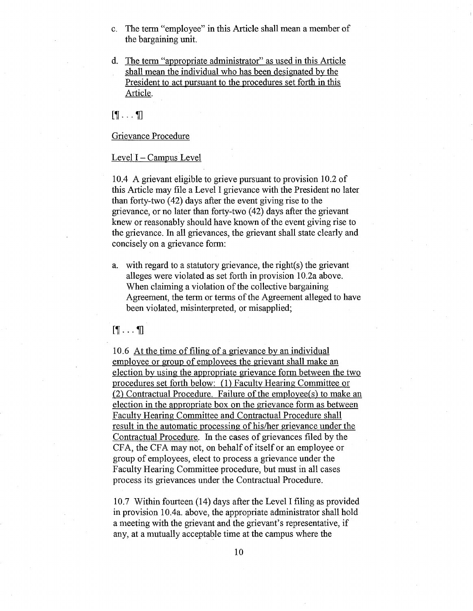- c. The term "employee" in this Article shall mean a member of the bargaining unit.
- d. The term "appropriate administrator" as used in this Article shall mean the individual who has been designated by the President to act pursuant to the procedures set forth in this Article.

 $[1 \dots 1]$ 

### Grievance Procedure

#### Level I - Campus Level

10.4 A grievant eligible to grieve pursuant to provision 10.2 of this Article may file a Level I grievance with the President no later than forty-two (42) days after the event giving rise to the grievance, or no later than forty-two (42) days after the grievant knew or reasonably should have known of the event giving rise to the grievance. In all grievances, the grievant shall state clearly and concisely on a grievance form:

a. with regard to a statutory grievance, the right(s) the grievant alleges were violated as set forth in provision 10.2a above. When claiming a violation of the collective bargaining Agreement, the term or terms of the Agreement alleged to have been violated, misinterpreted, or misapplied;

## $[1 \dots 1]$

10.6 At the time of filing of a grievance by an individual employee or group of employees the grievant shall make an election by using the appropriate grievance form between the two procedures set forth below: (1) Faculty Hearing Committee or (2) Contractual Procedure. Failure of the employee(s) to make an election in the appropriate box on the grievance form as between Faculty Hearing Committee and Contractual Procedure shall result in the automatic processing of his/her grievance under the Contractual Procedure. In the cases of grievances filed by the CFA, the CFA may not, on behalf of itself or an employee or group of employees, elect to process a grievance under the Faculty Hearing Committee procedure, but must in all cases process its grievances under the Contractual Procedure.

10.7 Within fourteen (14) days after the Level I filing as provided in provision 10.4a. above, the appropriate administrator shall hold a meeting with the grievant and the grievant's representative, if any, at a mutually acceptable time at the campus where the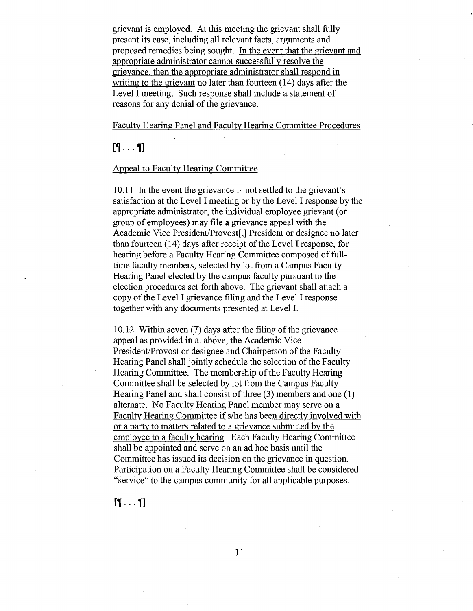grievant is employed. At this meeting the grievant shall fully present its case, including all relevant facts, arguments and proposed remedies being sought. In the event that the grievant and appropriate administrator cannot successfully resolve the grievance, then the appropriate administrator shall respond in writing to the grievant no later than fourteen (14) days after the Level I meeting. Such response shall include a statement of reasons for any denial of the grievance.

Faculty Hearing Panel and Faculty Hearing Committee Procedures

 $\P$ ... $\P$ 

## Appeal to Faculty Hearing Committee

10.11 In the event the grievance is not settled to the grievant's satisfaction at the Level I meeting or by the Level I response by the appropriate administrator, the individual employee grievant (or group of employees) may file a grievance appeal with the Academic Vice President/Provost[,] President or designee no later than fourteen (14) days after receipt of the Level I response, for hearing before a Faculty Hearing Committee composed of fulltime faculty members, selected by lot from a Campus Faculty Hearing Panel elected by the campus faculty pursuant to the election procedures set forth above. The grievant shall attach a copy of the Level I grievance filing and the Level I response together with any documents presented at Level I.

10.12 Within seven (7) days after the filing of the grievance appeal as provided in a. above, the Academic Vice President/Provost or designee and Chairperson of the Faculty Hearing Panel shall jointly schedule the selection of the Faculty Hearing Committee. The membership of the Faculty Hearing Committee shall be selected by lot from the Campus Faculty Hearing Panel and shall consist of three (3) members and one (1) alternate. No Faculty Hearing Panel member may serve on a Faculty Hearing Committee if s/he has been directly involved with or a party to matters related to a grievance submitted by the employee to a faculty hearing. Each Faculty Hearing Committee shall be appointed and serve on an ad hoc basis until the Committee has issued its decision on the grievance in question. Participation on a Faculty Hearing Committee shall be considered "service" to the campus community for all applicable purposes.

 $[1 \ldots 1]$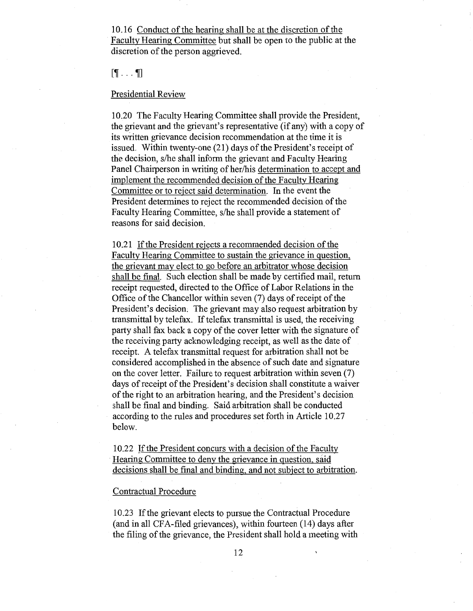10.16 Conduct of the hearing shall be at the discretion of the Faculty Hearing Committee but shall be open to the public at the discretion of the person aggrieved.

## $\P$ ... $\P$

#### Presidential Review

10.20 The Faculty Hearing Committee shall provide the President, the grievant and the grievant's representative (if any) with a copy of its written grievance decision recommendation at the time it is issued. Within twenty-one (21) days of the President's receipt of the decision, s/he shall inform the grievant and Faculty Hearing Panel Chairperson in writing of her/his determination to accept and implement the recommended decision of the Faculty Hearing Committee or to reject said determination. In the event the President determines to reject the recommended decision of the Faculty Hearing Committee, s/he shall provide a statement of reasons for said decision.

10.21 If the President rejects a recommended decision of the Faculty Hearing Committee to sustain the grievance in question, the grievant may elect to go before an arbitrator whose decision shall be final. Such election shall be made by certified mail, return receipt requested, directed to the Office of Labor Relations in the Office of the Chancellor within seven (7) days of receipt of the President's decision: The grievant may also request arbitration by transmittal by telefax. If telefax transmittal is used, the receiving party shall fax back a copy of the cover letter with the signature of the receiving party acknowledging receipt, as well as the date of receipt. A telefax transmittal request for arbitration shall not be considered accomplished in the absence of such date and signature on the cover letter. Failure to request arbitration within seven (7) days of receipt of the President's decision shall constitute a waiver of the right to an arbitration hearing, and the President's decision shall be final and binding. Said arbitration shall be conducted according to the rules and procedures set forth in Article 10.27 below.

10.22 If the President concurs with a decision of the Faculty Hearing Committee to deny the grievance in question, said decisions shall be final and binding, and not subject to arbitration.

#### Contractual Procedure

10.23 If the grievant elects to pursue the Contractual Procedure (and in all CFA-filed grievances), within fourteen (14) days after the filing of the grievance, the President shall hold a meeting with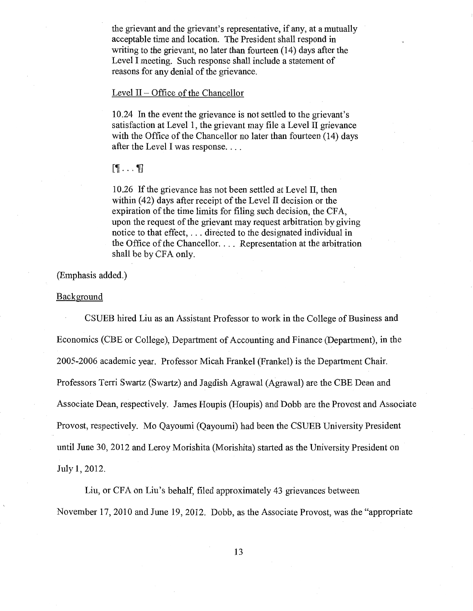the grievant and the grievant's representative, if any, at a mutually acceptable time and location. The President shall respond in writing to the grievant, no later than fourteen (14) days after the Level I meeting. Such response shall include a statement of reasons for any denial of the grievance.

### Level II- Office of the Chancellor

10.24 In the event the grievance is not settled to the grievant's satisfaction at Level 1, the grievant may file a Level II grievance with the Office of the Chancellor no later than fourteen (14) days after the Level I was response. . . .

## $19 \ldots 91$

10.26 If the grievance has not been settled at Level II, then within (42) days after receipt of the Level II decision or the expiration of the time limits for filing such decision, the CFA, upon the request of the grievant may request arbitration by giving notice to that effect, . . . directed to the designated individual in the Office of the Chancellor. . . . Representation at the arbitration shall be by CFA only.

#### (Emphasis added.)

#### Background

CSUEB hired Liu as an Assistant Professor to work in the College of Business and Economics (CBE or College), Department of Accounting and Finance (Department), in the 2005-2006 academic year. Professor Micah Frankel (Frankel) is the Department Chair. Professors Terri Swartz (Swartz) and Jagdish Agrawal (Agrawal) are the CBE Dean and Associate Dean, respectively. James Houpis (Houpis) and Dobb are the Provost and Associate Provost, respectively. Mo Qayoumi (Qayoumi) had been the CSUEB University President until June 30, 2012 and Leroy Morishita (Morishita) started as the University President on July 1, 2012.

Liu, or CFA on Liu's behalf, filed approximately 43 grievances between November 17, 2010 and June 19, 2012. Dobb, as the Associate Provost, was the "appropriate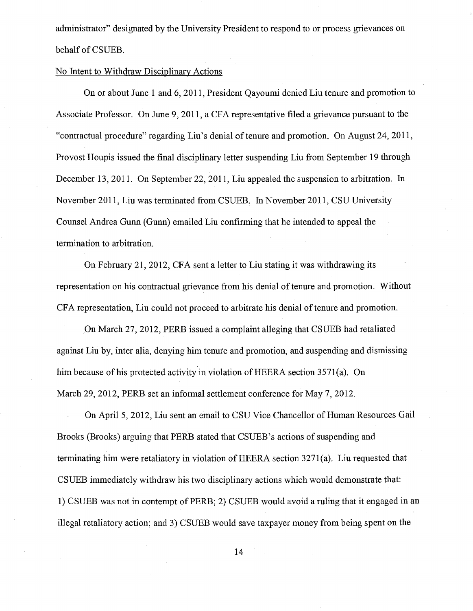administrator" designated by the University President to respond to or process grievances on behalf of CSUEB.

## No Intent to Withdraw Disciplinary Actions

On or about June 1 and 6, 2011, President Qayoumi denied Liu tenure and promotion to Associate Professor. On June 9, 2011, a CFA representative filed a grievance pursuant to the "contractual procedure" regarding Liu's denial of tenure and promotion. On August 24, 2011, Provost Houpis issued the final disciplinary letter suspending Liu from September 19 through December 13, 2011. On September 22, 2011, Liu appealed the suspension to arbitration. In November 2011, Liu was terminated from CSUEB. In November 2011, CSU University Counsel Andrea Gunn (Gunn) emailed Liu confirming that he intended to appeal the termination to arbitration.

On February 21, 2012, CFA sent a letter to Liu stating it was withdrawing its representation on his contractual grievance from his denial of tenure and promotion. Without CFA representation, Liu could not proceed to arbitrate his denial of tenure and promotion.

On March 27, 2012, PERB issued a complaint alleging that CSUEB had retaliated against Liu by, inter alia, denying him tenure and promotion, and suspending and dismissing him because of his protected activity in violation of HEERA section 3571(a). On March 29, 2012, PERB set an informal settlement conference for May 7, 2012.

On April 5, 2012, Liu sent an email to CSU Vice Chancellor of Human Resources Gail Brooks (Brooks) arguing that PERB stated that CSUEB's actions of suspending and terminating him were retaliatory in violation of HEERA section 3271(a). Liu requested that CSUEB immediately withdraw his two disciplinary actions which would demonstrate that: 1) CSUEB was not in contempt of PERB; 2) CSUEB would avoid a ruling that it engaged in an illegal retaliatory action; and 3) CSUEB would save taxpayer money from being spent on the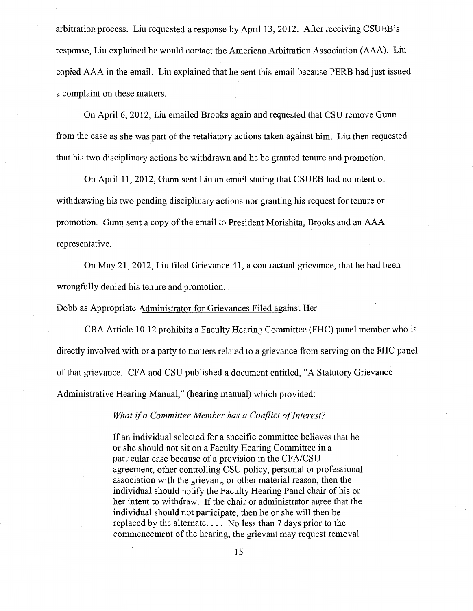arbitration process. Liu requested a response by April 13, 2012. After receiving CSUEB's response, Liu explained he would contact the American Arbitration Association (AAA). Liu copied AAA in the email. Liu explained that he sent this email because PERB had just issued a complaint on these matters.

On April 6, 2012, Liu emailed Brooks again and requested that CSU remove Gunn from the case as she was part of the retaliatory actions taken against him. Liu then requested that his two disciplinary actions be withdrawn and he be granted tenure and promotion.

On April 11, 2012, Gunn sent Liu an email stating that CSUEB had no intent of withdrawing his two pending disciplinary actions nor granting his request for tenure or promotion. Gunn sent a copy of the email to President Morishita, Brooks and an AAA representative.

On May 21, 2012, Liu filed Grievance 41, a contractual grievance, that he had been wrongfully denied his tenure and promotion.

## Dobb as Appropriate Administrator for Grievances Filed against Her

CBA Article 10.12 prohibits a Faculty Hearing Committee (FHC) panel member who is directly involved with or a party to matters related to a grievance from serving on the FHC panel of that grievance. CFA and CSU published a document entitled, "A Statutory Grievance Administrative Hearing Manual," (hearing manual) which provided:

What if a Committee Member has a Conflict of Interest?

If an individual selected for a specific committee believes that he or she should not sit on a Faculty Hearing Committee in a particular case because of a provision in the CFA/CSU agreement, other controlling CSU policy, personal or professional association with the grievant, or other material reason, then the individual should notify the Faculty Hearing Panel chair of his or her intent to withdraw. If the chair or administrator agree that the individual should not participate, then he or she will then be replaced by the alternate. ... No less than 7 days prior to the commencement of the hearing, the grievant may request removal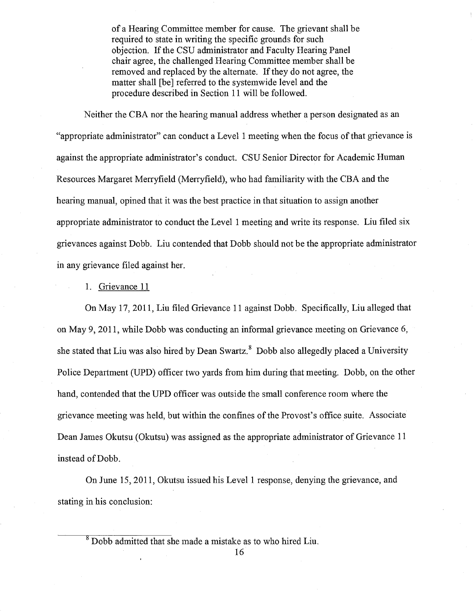of a Hearing Committee member for cause. The grievant shall be required to state in writing the specific grounds for such objection. If the CSU administrator and Faculty Hearing Panel chair agree, the challenged Hearing Committee member shall be removed and replaced by the alternate. If they do not agree, the matter shall [be] referred to the systemwide level and the procedure described in Section 11 will be followed.

Neither the CBA nor the hearing manual address whether a person designated as an "appropriate administrator" can conduct a Level 1 meeting when the focus of that grievance is against the appropriate administrator's conduct. CSU Senior Director for Academic Human Resources Margaret Merryfield (Merryfield), who had familiarity with the CBA and the hearing manual, opined that it was the best practice in that situation to assign another appropriate administrator to conduct the Level 1 meeting and write its response. Liu filed six grievances against Dobb. Liu contended that Dobb should not be the appropriate administrator in any grievance filed against her.

## 1. Grievance 11

On May 17, 2011, Liu filed Grievance 11 against Dobb. Specifically, Liu alleged that on May 9, 2011, while Dobb was conducting an informal grievance meeting on Grievance 6, she stated that Liu was also hired by Dean Swartz.<sup>8</sup> Dobb also allegedly placed a University Police Department (UPD) officer two yards from him during that meeting. Dobb, on the other hand, contended that the UPD officer was outside the small conference room where the grievance meeting was held, but within the confines of the Provost's office suite. Associate Dean James Okutsu (Okutsu) was assigned as the appropriate administrator of Grievance 11 instead of Dobb.

On June 15, 2011, Okutsu issued his Level 1 response, denying the grievance, and stating in his conclusion:

 $8\overline{2}$  Dobb admitted that she made a mistake as to who hired Liu.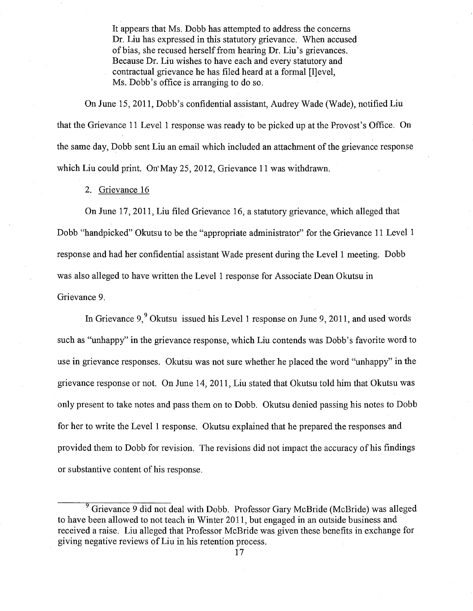It appears that Ms. Dobb has attempted to address the concerns Dr. Liu has expressed in this statutory grievance. When accused of bias, she recused herself from hearing Dr. Liu's grievances. Because Dr. Liu wishes to have each and every statutory and contractual grievance he has filed heard at a formal [ljevel, Ms. Dobb's office is arranging to do so.

On June 15, 201 1, Dobb's confidential assistant, Audrey Wade (Wade), notified Liu that the Grievance 11 Level 1 response was ready to be picked up at the Provost's Office. On the same day, Dobb sent Liu an email which included an attachment of the grievance response which Liu could print. On May 25, 2012, Grievance 11 was withdrawn.

### 2. Grievance 16

On June 17, 2011, Liu filed Grievance 16, a statutory grievance, which alleged that Dobb "handpicked" Okutsu to be the "appropriate administrator" for the Grievance 11 Level 1 response and had her confidential assistant Wade present during the Level 1 meeting. Dobb was also alleged to have written the Level 1 response for Associate Dean Okutsu in Grievance 9.

In Grievance 9,<sup>9</sup> Okutsu issued his Level 1 response on June 9, 2011, and used words such as "unhappy" in the grievance response, which Liu contends was Dobb's favorite word to use in grievance responses. Okutsu was not sure whether he placed the word "unhappy" in the grievance response or not. On June 14, 2011, Liu stated that Okutsu told him that Okutsu was only present to take notes and pass them on to Dobb. Okutsu denied passing his notes to Dobb for her to write the Level 1 response. Okutsu explained that he prepared the responses and provided them to Dobb for revision. The revisions did not impact the accuracy of his findings or substantive content of his response.

<sup>&</sup>lt;sup>9</sup> Grievance 9 did not deal with Dobb. Professor Gary McBride (McBride) was alleged to have been allowed to not teach in Winter 2011, but engaged in an outside business and received a raise. Liu alleged that Professor McBride was given these benefits in exchange for giving negative reviews of Liu in his retention process.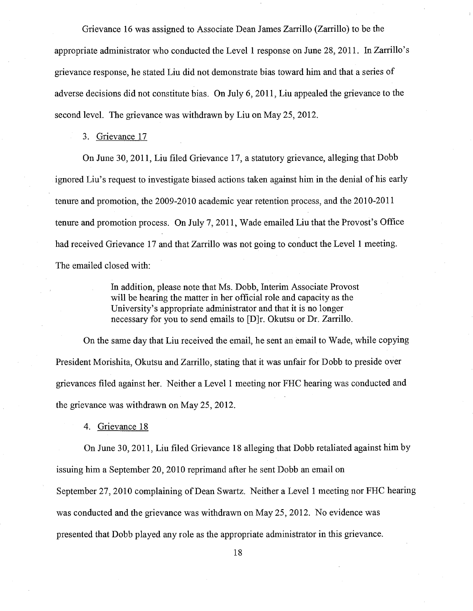Grievance 16 was assigned to Associate Dean James Zarrillo (Zarrillo) to be the appropriate administrator who conducted the Level 1 response on June 28, 2011. In Zarrillo's grievance response, he stated Liu did not demonstrate bias toward him and that a series of adverse decisions did not constitute bias. On July 6, 2011, Liu appealed the grievance to the second level. The grievance was withdrawn by Liu on May 25, 2012.

3. Grievance 17

On June 30, 2011, Liu filed Grievance 17, a statutory grievance, alleging that Dobb ignored Liu's request to investigate biased actions taken against him in the denial of his early tenure and promotion, the 2009-2010 academic year retention process, and the 2010-2011 tenure and promotion process. On July 7, 2011, Wade emailed Liu that the Provost's Office had received Grievance 17 and that Zarrillo was not going to conduct the Level 1 meeting. The emailed closed with:

> In addition, please note that Ms. Dobb, Interim Associate Provost will be hearing the matter in her official role and capacity as the University's appropriate administrator and that it is no longer necessary for you to send emails to [D]r. Okutsu or Dr. Zarrillo.

On the same day that Liu received the email, he sent an email to Wade, while copying President Morishita, Okutsu and Zarrillo, stating that it was unfair for Dobb to preside over grievances filed against her. Neither a Level 1 meeting nor FHC hearing was conducted and the grievance was withdrawn on May 25, 2012.

4. Grievance 18

On June 30, 2011, Liu filed Grievance 18 alleging that Dobb retaliated against him by issuing him a September 20, 2010 reprimand after he sent Dobb an email on September 27, 2010 complaining of Dean Swartz. Neither a Level 1 meeting nor FHC hearing was conducted and the grievance was withdrawn on May 25, 2012. No evidence was presented that Dobb played any role as the appropriate administrator in this grievance.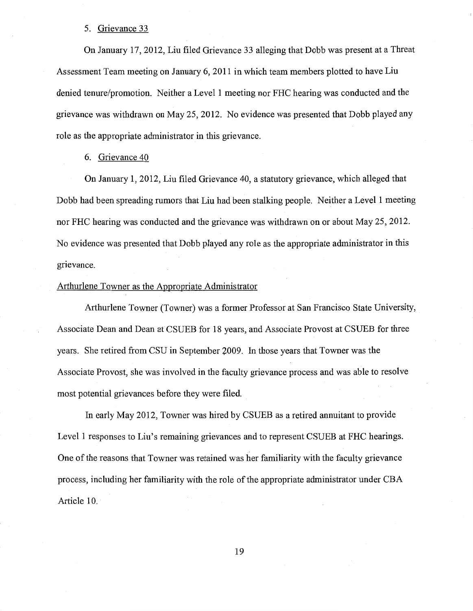## 5. Grievance 33

On January 17, 2012, Liu filed Grievance 33 alleging that Dobb was present at a Threat Assessment Team meeting on January 6, 2011 in which team members plotted to have Liu denied tenure/promotion. Neither a Level 1 meeting nor FHC hearing was conducted and the grievance was withdrawn on May 25, 2012. No evidence was presented that Dobb played any role as the appropriate administrator in this grievance.

#### 6. Grievance 40

On January 1, 2012, Liu filed Grievance 40, a statutory grievance, which alleged that Dobb had been spreading rumors that Liu had been stalking people. Neither a Level 1 meeting nor FHC hearing was conducted and the grievance was withdrawn on or about May 25, 2012. No evidence was presented that Dobb played any role as the appropriate administrator in this grievance.

### Arthurlene Towner as the Appropriate Administrator

Arthurlene Towner (Towner) was a former Professor at San Francisco State University, Associate Dean and Dean at CSUEB for 18 years, and Associate Provost at CSUEB for three years. She retired from CSU in September 2009. In those years that Towner was the Associate Provost, she was involved in the faculty grievance process and was able to resolve most potential grievances before they were filed.

In early May 2012, Towner was hired by CSUEB as a retired annuitant to provide Level 1 responses to Liu's remaining grievances and to represent CSUEB at FHC hearings. One of the reasons that Towner was retained was her familiarity with the faculty grievance process, including her familiarity with the role of the appropriate administrator under CBA Article 10.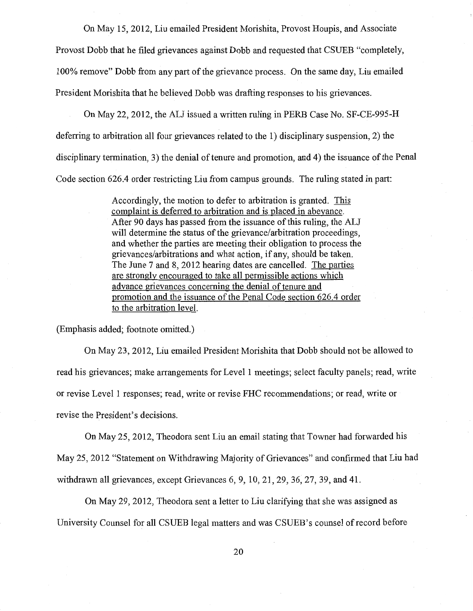On May 15, 2012, Liu emailed President Morishita, Provost Houpis, and Associate Provost Dobb that he filed grievances against Dobb and requested that CSUEB "completely, 100% remove" Dobb from any part of the grievance process. On the same day, Liu emailed President Morishita that he believed Dobb was drafting responses to his grievances.

On May 22, 2012, the ALJ issued a written ruling in PERB Case No. SF-CE-995-H deferring to arbitration all four grievances related to the 1) disciplinary suspension, 2) the disciplinary termination, 3) the denial of tenure and promotion, and 4) the issuance of the Penal Code section 626.4 order restricting Liu from campus grounds. The ruling stated in part:

> Accordingly, the motion to defer to arbitration is granted. This complaint is deferred to arbitration and is placed in abeyance. After 90 days has passed from the issuance of this ruling, the ALJ will determine the status of the grievance/arbitration proceedings, and whether the parties are meeting their obligation to process the grievances/arbitrations and what action, if any, should be taken. The June 7 and 8, 2012 hearing dates are cancelled. The parties are strongly encouraged to take all permissible actions which advance grievances concerning the denial of tenure and promotion and the issuance of the Penal Code section 626.4 order to the arbitration level.

(Emphasis added; footnote omitted.)

On May 23, 2012, Liu emailed President Morishita that Dobb should not be allowed to read his grievances; make arrangements for Level 1 meetings; select faculty panels; read, write or revise Level 1 responses; read, write or revise FHC recommendations; or read, write or revise the President's decisions.

On May 25, 2012, Theodora sent Liu an email stating that Towner had forwarded his May 25, 2012 "Statement on Withdrawing Majority of Grievances" and confirmed that Liu had withdrawn all grievances, except Grievances 6, 9, 10, 21, 29, 36, 27, 39, and 41.

On May 29, 2012, Theodora sent a letter to Liu clarifying that she was assigned as University Counsel for all CSUEB legal matters and was CSUEB's counsel of record before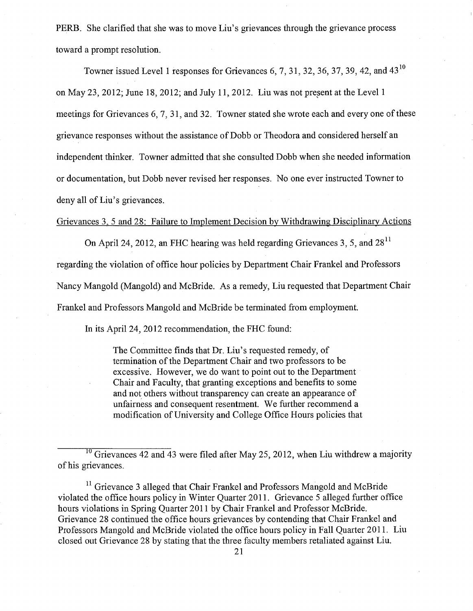PERB. She clarified that she was to move Liu's grievances through the grievance process toward a prompt resolution.

Towner issued Level 1 responses for Grievances 6, 7, 31, 32, 36, 37, 39, 42, and  $43^{10}$ on May 23, 2012; June 18, 2012; and July 11, 2012. Liu was not present at the Level 1 meetings for Grievances 6, 7, 31, and 32. Towner stated she wrote each and every one of these grievance responses without the assistance of Dobb or Theodora and considered herself an independent thinker. Towner admitted that she consulted Dobb when she needed information or documentation, but Dobb never revised her responses. No one ever instructed Towner to deny all of Liu's grievances.

## Grievances 3. 5 and 28: Failure to Implement Decision by Withdrawing Disciplinary Actions

On April 24, 2012, an FHC hearing was held regarding Grievances 3, 5, and  $28<sup>11</sup>$ regarding the violation of office hour policies by Department Chair Frankel and Professors Nancy Mangold (Mangold) and McBride. As a remedy, Liu requested that Department Chair Frankel and Professors Mangold and McBride be terminated from employment.

In its April 24, 2012 recommendation, the FHC found:

The Committee finds that Dr. Liu's requested remedy, of termination of the Department Chair and two professors to be excessive. However, we do want to point out to the Department Chair and Faculty, that granting exceptions and benefits to some and not others without transparency can create an appearance of unfairness and consequent resentment. We further recommend a modification of University and College Office Hours policies that

 $\frac{10}{10}$  Grievances 42 and 43 were filed after May 25, 2012, when Liu withdrew a majority of his grievances.

 $<sup>11</sup>$  Grievance 3 alleged that Chair Frankel and Professors Mangold and McBride</sup> violated the office hours policy in Winter Quarter 2011. Grievance 5 alleged further office hours violations in Spring Quarter 2011 by Chair Frankel and Professor McBride. Grievance 28 continued the office hours grievances by contending that Chair Frankel and Professors Mangold and McBride violated the office hours policy in Fall Quarter 2011. Liu closed out Grievance 28 by stating that the three faculty members retaliated against Liu.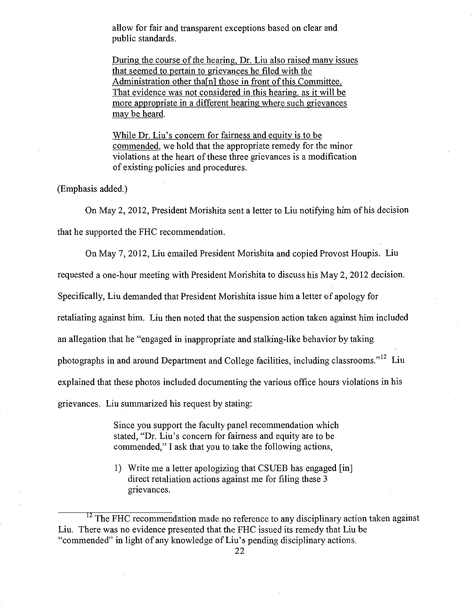allow for fair and transparent exceptions based on clear and public standards.

During the course of the hearing, Dr. Liu also raised many issues that seemed to pertain to grievances he filed with the Administration other tha $[n]$  those in front of this Committee. That evidence was not considered in this hearing, as it will be more appropriate in a different hearing where such grievances may be heard.

While Dr. Liu's concern for fairness and equity is to be commended, we hold that the appropriate remedy for the minor violations at the heart of these three grievances is a modification of existing policies and procedures.

(Emphasis added.)

On May 2, 2012, President Morishita sent a letter to Liu notifying him of his decision that he supported the FHC recommendation.

On May 7, 2012, Liu emailed President Morishita and copied Provost Houpis. Liu requested a one-hour meeting with President Morishita to discuss his May 2, 2012 decision. Specifically, Liu demanded that President Morishita issue him a letter of apology for retaliating against him. Liu then noted that the suspension action taken against him included an allegation that he "engaged in inappropriate and stalking-like behavior by taking photographs in and around Department and College facilities, including classrooms."<sup>12</sup> Liu explained that these photos included documenting the various office hours violations in his grievances. Liu summarized his request by stating:

> Since you support the faculty panel recommendation which stated, "Dr. Liu's concern for fairness and equity are to be commended," I ask that you to take the following actions,

1) Write me a letter apologizing that CSUEB has engaged [in] direct retaliation actions against me for filing these 3 grievances.

 $12$  The FHC recommendation made no reference to any disciplinary action taken against Liu. There was no evidence presented that the FHC issued its remedy that Liu be "commended" in light of any knowledge of Liu's pending disciplinary actions.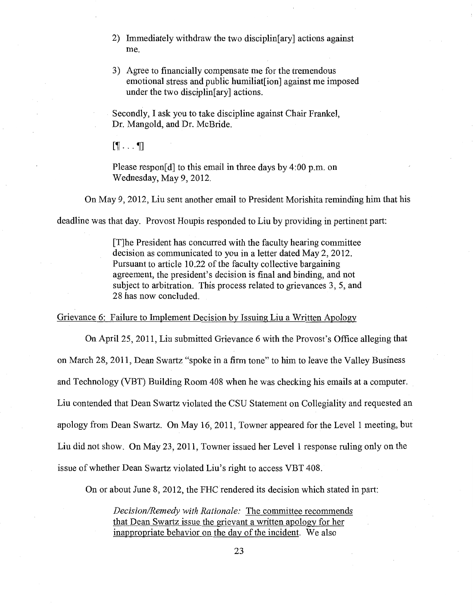- 2) Immediately withdraw the two disciplinary actions against me
- 3) Agree to financially compensate me for the tremendous emotional stress and public humiliate ionl against me imposed under the two disciplinary] actions.

Secondly, I ask you to take discipline against Chair Frankel, Dr. Mangold, and Dr. McBride.

 $[1 \ldots 1]$ 

Please respond in the edays by 4:00 p.m. on Wednesday, May 9, 2012.

On May 9, 2012, Liu sent another email to President Morishita reminding him that his

deadline was that day. Provost Houpis responded to Liu by providing in pertinent part:

[TThe President has concurred with the faculty hearing committee decision as communicated to you in a letter dated May 2, 2012. Pursuant to article 10.22 of the faculty collective bargaining agreement, the president's decision is final and binding, and not subject to arbitration. This process related to grievances 3, 5, and 28 has now concluded.

Grievance 6: Failure to Implement Decision by Issuing Liu a Written Apology

On April 25, 2011, Liu submitted Grievance 6 with the Provost's Office alleging that on March 28, 2011, Dean Swartz "spoke in a firm tone" to him to leave the Valley Business and Technology (VBT) Building Room 408 when he was checking his emails at a computer. Liu contended that Dean Swartz violated the CSU Statement on Collegiality and requested an apology from Dean Swartz. On May 16, 2011, Towner appeared for the Level 1 meeting, but Liu did not show. On May 23, 2011, Towner issued her Level 1 response ruling only on the issue of whether Dean Swartz violated Liu's right to access VBT 408.

On or about June 8, 2012, the FHC rendered its decision which stated in part:

Decision/Remedy with Rationale: The committee recommends that Dean Swartz issue the grievant a written apology for her inappropriate behavior on the day of the incident. We also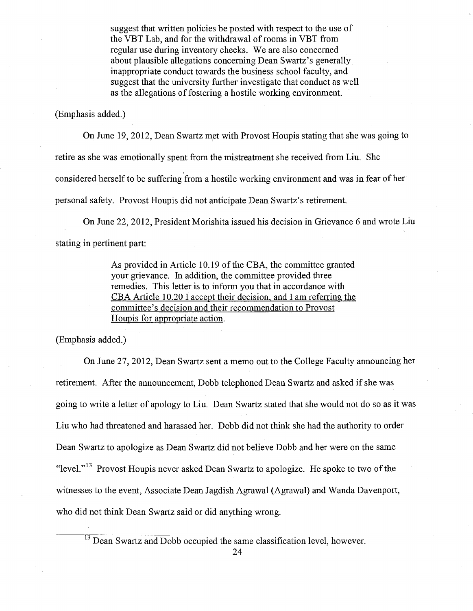suggest that written policies be posted with respect to the use of the VBT Lab, and for the withdrawal of rooms in VBT from regular use during inventory checks. We are also concerned about plausible allegations concerning Dean Swartz's generally inappropriate conduct towards the business school faculty, and suggest that the university further investigate that conduct as well as the allegations of fostering a hostile working environment.

Emphasis added.)

On June 19, 2012, Dean Swartz met with Provost Houpis stating that she was going to retire as she was emotionally spent from the mistreatment she received from Liu. She considered herself to be suffering from a hostile working environment and was in fear of her personal safety. Provost Houpis did not anticipate Dean Swartz's retirement.

On June 22, 2012, President Morishita issued his decision in Grievance 6 and wrote Liu stating in pertinent part:

> As provided in Article 10.19 of the CBA, the committee granted your grievance. In addition, the committee provided three remedies. This letter is to inform you that in accordance with CBA Article 10.20 I accept their decision. and I am referring the committee's decision and their recommendation to Provost Houpis for appropriate action.

(Emphasis added.)

On June 27, 2012, Dean Swartz sent a memo out to the College Faculty announcing her retirement. After the announcement, Dobb telephoned Dean Swartz and asked if she was going to write a letter of apology to Liu. Dean Swartz stated that she would not do so as it was Liu who had threatened and harassed her. Dobb did not think she had the authority to order Dean Swartz to apologize as Dean Swartz did not believe Dobb and her were on the same "level."<sup>13</sup> Provost Houpis never asked Dean Swartz to apologize. He spoke to two of the witnesses to the event, Associate Dean Jagdish Agrawal (Agrawal) and Wanda Davenport, who did not think Dean Swartz said or did anything wrong.

<sup>13</sup> Dean Swartz and Dobb occupied the same classification level, however.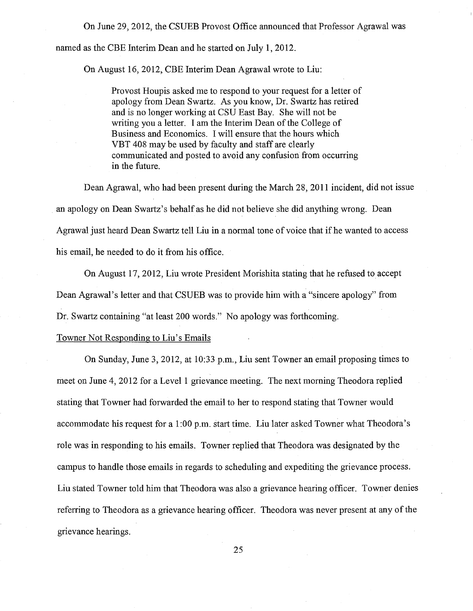On June 29, 2012, the CSUEB Provost Office announced that Professor Agrawal was

named as the CBE Interim Dean and he started on July 1, 2012.

On August 16, 2012, CBE Interim Dean Agrawal wrote to Liu:

Provost Houpis asked me to respond to your request for a letter of apology from Dean Swartz. As you know, Dr. Swartz has retired and is no longer working at CSU East Bay. She will not be writing you a letter. I am the Interim Dean of the College of Business and Economics. I will ensure that the hours which VBT 408 may be used by faculty and staff are clearly communicated and posted to avoid any confusion from occurring in the future.

Dean Agrawal, who had been present during the March 28, 2011 incident, did not issue an apology on Dean Swartz's behalf as he did not believe she did anything wrong. Dean Agrawal just heard Dean Swartz tell Liu in a normal tone of voice that if he wanted to access his email, he needed to do it from his office.

On August 17, 2012, Liu wrote President Morishita stating that he refused to accept Dean Agrawal's letter and that CSUEB was to provide him with a "sincere apology" from Dr. Swartz containing "at least 200 words." No apology was forthcoming.

#### Towner Not Responding to Liu's Emails

On Sunday, June 3, 2012, at 10:33 p.m., Liu sent Towner an email proposing times to meet on June 4, 2012 for a Level 1 grievance meeting. The next morning Theodora replied stating that Towner had forwarded the email to her to respond stating that Towner would accommodate his request for a 1:00 p.m. start time. Liu later asked Towner what Theodora's role was in responding to his emails. Towner replied that Theodora was designated by the campus to handle those emails in regards to scheduling and expediting the grievance process. Liu stated Towner told him that Theodora was also a grievance hearing officer. Towner denies referring to Theodora as a grievance hearing officer. Theodora was never present at any of the grievance hearings.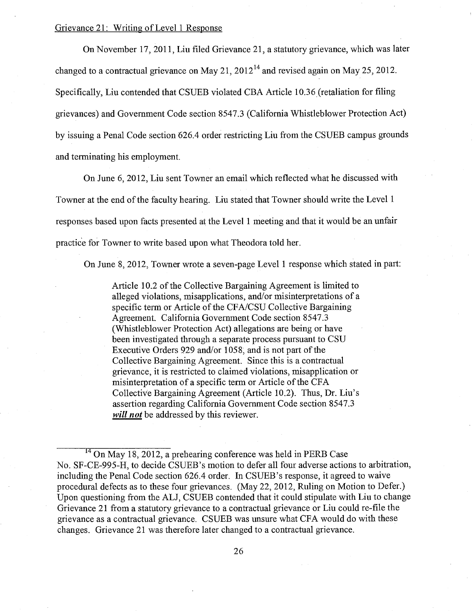#### Grievance 21: Writing of Level 1 Response

On November 17, 2011, Liu filed Grievance 21, a statutory grievance, which was later changed to a contractual grievance on May 21,  $2012^{14}$  and revised again on May 25, 2012. Specifically, Liu contended that CSUEB violated CBA Article 10.36 (retaliation for filing grievances) and Government Code section 8547.3 (California Whistleblower Protection Act) by issuing a Penal Code section 626.4 order restricting Liu from the CSUEB campus grounds and terminating his employment.

On June 6, 2012, Liu sent Towner an email which reflected what he discussed with Towner at the end of the faculty hearing. Liu stated that Towner should write the Level 1 responses based upon facts presented at the Level 1 meeting and that it would be an unfair practice for Towner to write based upon what Theodora told her.

On June 8, 2012, Towner wrote a seven-page Level 1 response which stated in part:

Article 10.2 of the Collective Bargaining Agreement is limited to alleged violations, misapplications, and/or misinterpretations of a specific term or Article of the CFA/CSU Collective Bargaining Agreement. California Government Code section 8547.3 (Whistleblower Protection Act) allegations are being or have been investigated through a separate process pursuant to CSU Executive Orders 929 and/or 1058, and is not part of the Collective Bargaining Agreement. Since this is a contractual grievance, it is restricted to claimed violations, misapplication or misinterpretation of a specific term or Article of the CFA Collective Bargaining Agreement (Article 10.2). Thus, Dr. Liu's assertion regarding California Government Code section 8547.3 will not be addressed by this reviewer.

 $14$  On May 18, 2012, a prehearing conference was held in PERB Case No. SF-CE-995-H, to decide CSUEB's motion to defer all four adverse actions to arbitration, including the Penal Code section 626.4 order. In CSUEB's response, it agreed to waive procedural defects as to these four grievances. (May 22, 2012, Ruling on Motion to Defer.) Upon questioning from the ALJ, CSUEB contended that it could stipulate with Liu to change Grievance 21 from a statutory grievance to a contractual grievance or Liu could re-file the grievance as a contractual grievance. CSUEB was unsure what CFA would do with these changes. Grievance 21 was therefore later changed to a contractual grievance.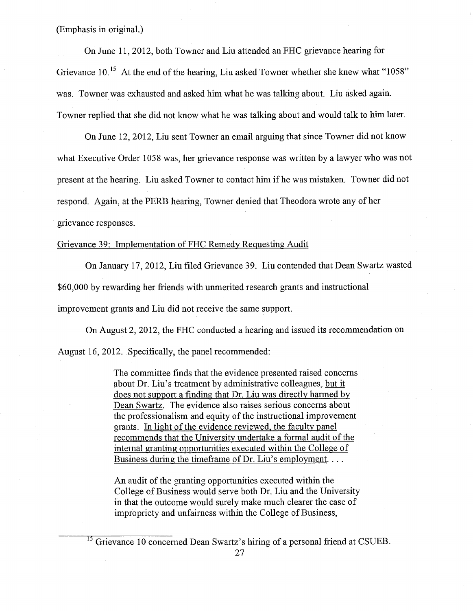(Emphasis in original.)

On June 11, 2012, both Towner and Liu attended an FHC grievance hearing for Grievance 10.<sup>15</sup> At the end of the hearing, Liu asked Towner whether she knew what "1058" was. Towner was exhausted and asked him what he was talking about. Liu asked again. Towner replied that she did not know what he was talking about and would talk to him later.

On June 12, 2012, Liu sent Towner an email arguing that since Towner did not know what Executive Order 1058 was, her grievance response was written by a lawyer who was not present at the hearing. Liu asked Towner to contact him if he was mistaken. Towner did not respond. Again, at the PERB hearing, Towner denied that Theodora wrote any of her grievance responses.

## Grievance 39: Implementation of FHC Remedy Requesting Audit

On January 17, 2012, Liu filed Grievance 39. Liu contended that Dean Swartz wasted \$60,000 by rewarding her friends with unmerited research grants and instructional improvement grants and Liu did not receive the same support.

On August 2, 2012, the FHC conducted a hearing and issued its recommendation on August 16, 2012. Specifically, the panel recommended:

> The committee finds that the evidence presented raised concerns about Dr. Liu's treatment by administrative colleagues, but it does not support a finding that Dr. Liu was directly harmed by Dean Swartz. The evidence also raises serious concerns about the professionalism and equity of the instructional improvement grants. In light of the evidence reviewed. the faculty panel recommends that the University undertake a formal audit of the internal granting opportunities executed within the College of Business during the timeframe of Dr. Liu's employment. . . .

> An audit of the granting opportunities executed within the College of Business would serve both Dr. Liu and the University in that the outcome would surely make much clearer the case of impropriety and unfairness within the College of Business,

 $\frac{15}{15}$  Grievance 10 concerned Dean Swartz's hiring of a personal friend at CSUEB.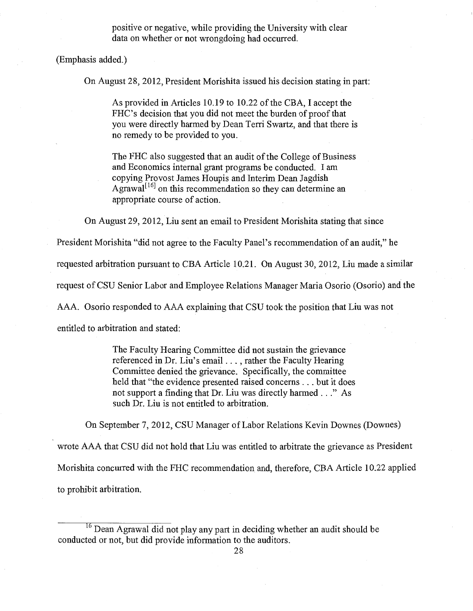positive or negative, while providing the University with clear data on whether or not wrongdoing had occurred.

(Emphasis added.)

On August 28, 2012, President Morishita issued his decision stating in part:

As provided in Articles 10.19 to 10.22 of the CBA, I accept the FHC's decision that you did not meet the burden of proof that you were directly harmed by Dean Terri Swartz, and that there is no remedy to be provided to you.

The FHC also suggested that an audit of the College of Business and Economics internal grant programs be conducted. I am copying Provost James Houpis and Interim Dean Jagdish Agrawal<sup>[16]</sup> on this recommendation so they can determine an appropriate course of action.

On August 29, 2012, Liu sent an email to President Morishita stating that since

President Morishita "did not agree to the Faculty Panel's recommendation of an audit," he

requested arbitration pursuant to CBA Article 10.21. On August 30, 2012, Liu made a similar

request of CSU Senior Labor and Employee Relations Manager Maria Osorio (Osorio) and the

AAA. Osorio responded to AAA explaining that CSU took the position that Liu was not

entitled to arbitration and stated:

The Faculty Hearing Committee did not sustain the grievance referenced in Dr. Liu's email . . ., rather the Faculty Hearing Committee denied the grievance. Specifically, the committee held that "the evidence presented raised concerns . . . but it does not support a finding that Dr. Liu was directly harmed . . ." As such Dr. Liu is not entitled to arbitration.

On September 7, 2012, CSU Manager of Labor Relations Kevin Downes (Downes) wrote AAA that CSU did not hold that Liu was entitled to arbitrate the grievance as President Morishita concurred with the FHC recommendation and, therefore, CBA Article 10.22 applied to prohibit arbitration.

 $16$  Dean Agrawal did not play any part in deciding whether an audit should be conducted or not, but did provide information to the auditors.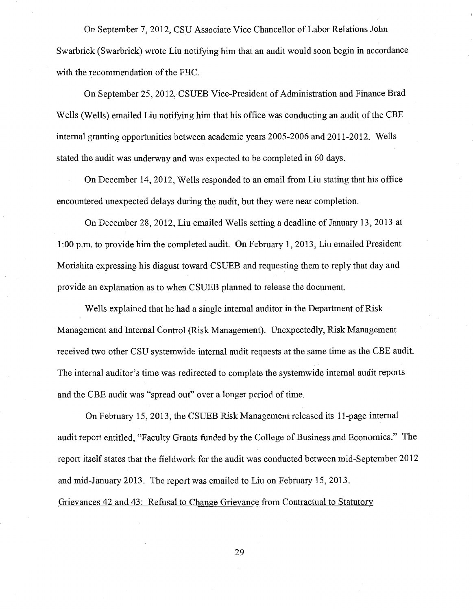On September 7, 2012, CSU Associate Vice Chancellor of Labor Relations John Swarbrick (Swarbrick) wrote Liu notifying him that an audit would soon begin in accordance with the recommendation of the FHC.

On September 25, 2012, CSUEB Vice-President of Administration and Finance Brad Wells (Wells) emailed Liu notifying him that his office was conducting an audit of the CBE internal granting opportunities between academic years 2005-2006 and 2011-2012. Wells stated the audit was underway and was expected to be completed in 60 days.

On December 14, 2012, Wells responded to an email from Liu stating that his office encountered unexpected delays during the audit, but they were near completion.

On December 28, 2012, Liu emailed Wells setting a deadline of January 13, 2013 at 1:00 p.m. to provide him the completed audit. On February 1, 2013, Liu emailed President Morishita expressing his disgust toward CSUEB and requesting them to reply that day and provide an explanation as to when CSUEB planned to release the document.

Wells explained that he had a single internal auditor in the Department of Risk Management and Internal Control (Risk Management). Unexpectedly, Risk Management received two other CSU systemwide internal audit requests at the same time as the CBE audit. The internal auditor's time was redirected to complete the systemwide internal audit reports and the CBE audit was "spread out" over a longer period of time.

On February 15, 2013, the CSUEB Risk Management released its 11-page internal audit report entitled, "Faculty Grants funded by the College of Business and Economics." The report itself states that the fieldwork for the audit was conducted between mid-September 2012 and mid-January 2013. The report was emailed to Liu on February 15, 2013.

Grievances 42 and 43: Refusal to Change Grievance from Contractual to Statutory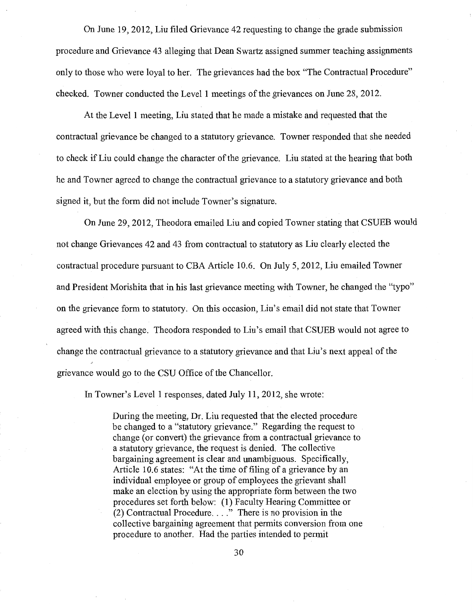On June 19, 2012, Liu filed Grievance 42 requesting to change the grade submission procedure and Grievance 43 alleging that Dean Swartz assigned summer teaching assignments only to those who were loyal to her. The grievances had the box "The Contractual Procedure" checked. Towner conducted the Level 1 meetings of the grievances on June 28, 2012.

At the Level 1 meeting, Liu stated that he made a mistake and requested that the contractual grievance be changed to a statutory grievance. Towner responded that she needed to check if Liu could change the character of the grievance. Liu stated at the hearing that both he and Towner agreed to change the contractual grievance to a statutory grievance and both signed it, but the form did not include Towner's signature.

On June 29, 2012, Theodora emailed Liu and copied Towner stating that CSUEB would not change Grievances 42 and 43 from contractual to statutory as Liu clearly elected the contractual procedure pursuant to CBA Article 10.6. On July 5, 2012, Liu emailed Towner and President Morishita that in his last grievance meeting with Towner, he changed the "typo" on the grievance form to statutory. On this occasion, Liu's email did not state that Towner agreed with this change. Theodora responded to Liu's email that CSUEB would not agree to change the contractual grievance to a statutory grievance and that Liu's next appeal of the grievance would go to the CSU Office of the Chancellor.

In Towner's Level 1 responses, dated July 11, 2012, she wrote:

During the meeting, Dr. Liu requested that the elected procedure be changed to a "statutory grievance." Regarding the request to change (or convert) the grievance from a contractual grievance to a statutory grievance, the request is denied. The collective bargaining agreement is clear and unambiguous. Specifically, Article 10.6 states: "At the time of filing of a grievance by an individual employee or group of employees the grievant shall make an election by using the appropriate form between the two procedures set forth below: (1) Faculty Hearing Committee or  $(2)$  Contractual Procedure.  $\ldots$  There is no provision in the collective bargaining agreement that permits conversion from one procedure to another. Had the parties intended to permit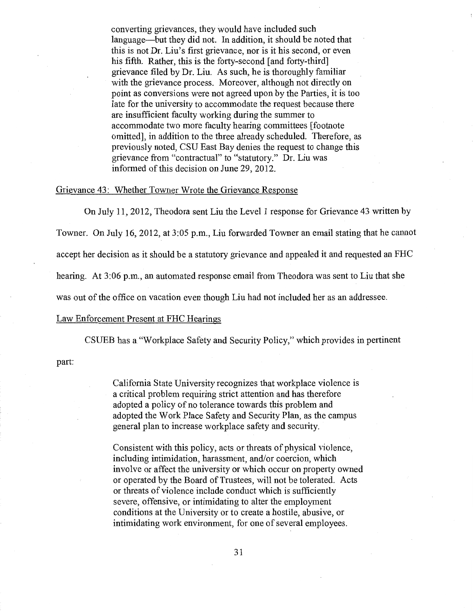converting grievances, they would have included such language—but they did not. In addition, it should be noted that this is not Dr. Liu's first grievance, nor is it his second, or even his fifth. Rather, this is the forty-second [and forty-third] grievance filed by Dr. Liu. As such, he is thoroughly familiar with the grievance process. Moreover, although not directly on point as conversions were not agreed upon by the Parties, it is too late for the university to accommodate the request because there are insufficient faculty working during the summer to accommodate two more faculty hearing committees [footnote omitted], in addition to the three already scheduled. Therefore, as previously noted, CSU East Bay denies the request to change this grievance from "contractual" to "statutory." Dr. Liu was informed of this decision on June 29, 2012.

### Grievance 43: Whether Towner Wrote the Grievance Response

On July 11, 2012, Theodora sent Liu the Level 1 response for Grievance 43 written by

Towner. On July 16, 2012, at 3:05 p.m., Liu forwarded Towner an email stating that he cannot

accept her decision as it should be a statutory grievance and appealed it and requested an FHC

hearing. At 3:06 p.m., an automated response email from Theodora was sent to Liu that she

was out of the office on vacation even though Liu had not included her as an addressee.

#### Law Enforcement Present at FHC Hearings

CSUEB has a "Workplace Safety and Security Policy," which provides in pertinent

part:

California State University recognizes that workplace violence is a critical problem requiring strict attention and has therefore adopted a policy of no tolerance towards this problem and adopted the Work Place Safety and Security Plan, as the campus general plan to increase workplace safety and security.

Consistent with this policy, acts or threats of physical violence, including intimidation, harassment, and/or coercion, which involve or affect the university or which occur on property owned or operated by the Board of Trustees, will not be tolerated. Acts or threats of violence include conduct which is sufficiently severe, offensive, or intimidating to alter the employment conditions at the University or to create a hostile, abusive, or intimidating work environment, for one of several employees.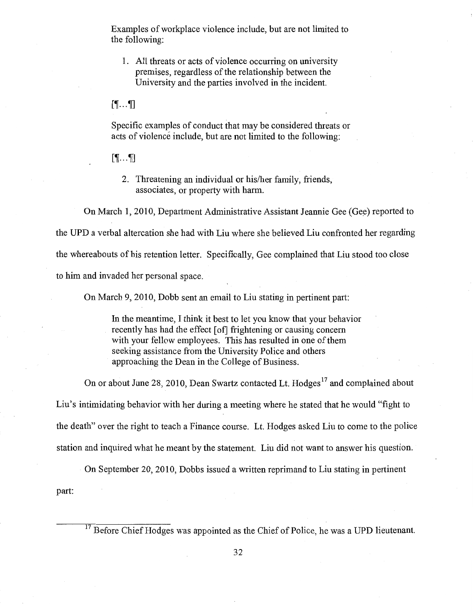Examples of workplace violence include, but are not limited to the following:

1. All threats or acts of violence occurring on university premises, regardless of the relationship between the University and the parties involved in the incident.

 $[M...T]$ 

Specific examples of conduct that may be considered threats or acts of violence include, but are not limited to the following:

 $\P...$ 

2. Threatening an individual or his/her family, friends, associates, or property with harm.

On March 1, 2010, Department Administrative Assistant Jeannie Gee (Gee) reported to the UPD a verbal altercation she had with Liu where she believed Liu confronted her regarding the whereabouts of his retention letter. Specifically, Gee complained that Liu stood too close

to him and invaded her personal space.

On March 9, 2010, Dobb sent an email to Liu stating in pertinent part:

In the meantime, I think it best to let you know that your behavior recently has had the effect [of] frightening or causing concern with your fellow employees. This has resulted in one of them seeking assistance from the University Police and others approaching the Dean in the College of Business.

On or about June 28, 2010, Dean Swartz contacted Lt. Hodges<sup>17</sup> and complained about Liu's intimidating behavior with her during a meeting where he stated that he would "fight to the death" over the right to teach a Finance course. Lt. Hodges asked Liu to come to the police station and inquired what he meant by the statement. Liu did not want to answer his question.

On September 20, 2010, Dobbs issued a written reprimand to Liu stating in pertinent part:

 $17$  Before Chief Hodges was appointed as the Chief of Police, he was a UPD lieutenant.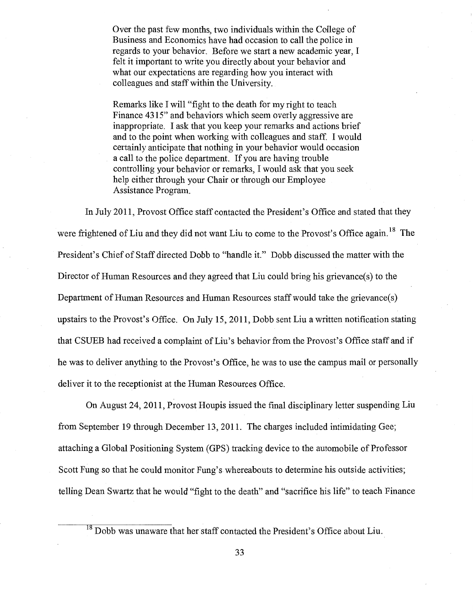Over the past few months, two individuals within the College of Business and Economics have had occasion to call the police in regards to your behavior. Before we start a new academic year, I felt it important to write you directly about your behavior and what our expectations are regarding how you interact with colleagues and staff within the University.

Remarks like I will "fight to the death for my right to teach Finance 4315" and behaviors which seem overly aggressive are inappropriate. I ask that you keep your remarks and actions brief and to the point when working with colleagues and staff. I would certainly anticipate that nothing in your behavior would occasion a call to the police department. If you are having trouble controlling your behavior or remarks, I would ask that you seek help either through your Chair or through our Employee Assistance Program.

In July 2011, Provost Office staff contacted the President's Office and stated that they were frightened of Liu and they did not want Liu to come to the Provost's Office again.<sup>18</sup> The President's Chief of Staff directed Dobb to "handle it." Dobb discussed the matter with the Director of Human Resources and they agreed that Liu could bring his grievance(s) to the Department of Human Resources and Human Resources staff would take the grievance(s) upstairs to the Provost's Office. On July 15, 2011, Dobb sent Liu a written notification stating that CSUEB had received a complaint of Liu's behavior from the Provost's Office staff and if he was to deliver anything to the Provost's Office, he was to use the campus mail or personally deliver it to the receptionist at the Human Resources Office.

On August 24, 2011, Provost Houpis issued the final disciplinary letter suspending Liu from September 19 through December 13, 2011. The charges included intimidating Gee; attaching a Global Positioning System (GPS) tracking device to the automobile of Professor Scott Fung so that he could monitor Fung's whereabouts to determine his outside activities; telling Dean Swartz that he would "fight to the death" and "sacrifice his life" to teach Finance

 $^{18}$  Dobb was unaware that her staff contacted the President's Office about Liu.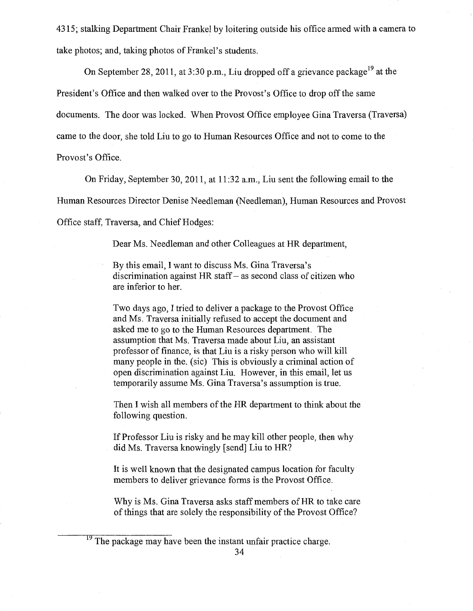4315; stalking Department Chair Frankel by loitering outside his office armed with a camera to take photos; and, taking photos of Frankel's students.

On September 28, 2011, at 3:30 p.m., Liu dropped off a grievance package<sup>19</sup> at the President's Office and then walked over to the Provost's Office to drop off the same documents. The door was locked. When Provost Office employee Gina Traversa (Traversa) came to the door, she told Liu to go to Human Resources Office and not to come to the Provost's Office.

On Friday, September 30, 2011, at 11:32 a.m., Liu sent the following email to the Human Resources Director Denise Needleman (Needleman), Human Resources and Provost Office staff, Traversa, and Chief Hodges:

Dear Ms. Needleman and other Colleagues at HR department,

By this email, I want to discuss Ms. Gina Traversa's discrimination against HR staff – as second class of citizen who are inferior to her.

Two days ago, I tried to deliver a package to the Provost Office and Ms. Traversa initially refused to accept the document and asked me to go to the Human Resources department. The assumption that Ms. Traversa made about Liu, an assistant professor of finance, is that Liu is a risky person who will kill many people in the. (sic) This is obviously a criminal action of open discrimination against Liu. However, in this email, let us temporarily assume Ms. Gina Traversa's assumption is true.

Then I wish all members of the HR department to think about the following question.

If Professor Liu is risky and he may kill other people, then why did Ms. Traversa knowingly [send] Liu to HR?

It is well known that the designated campus location for faculty members to deliver grievance forms is the Provost Office.

Why is Ms. Gina Traversa asks staff members of HR to take care of things that are solely the responsibility of the Provost Office?

 $^{19}$  The package may have been the instant unfair practice charge.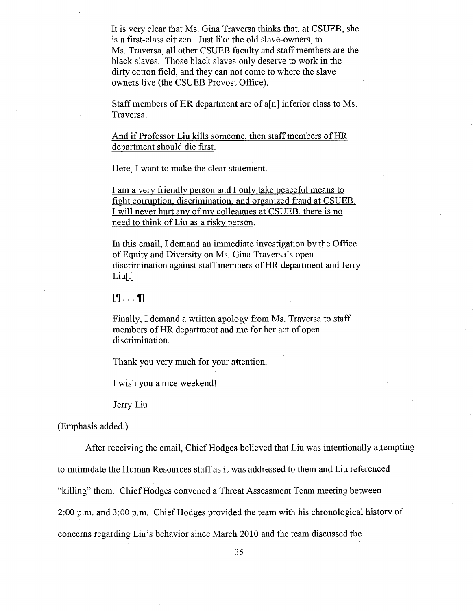It is very clear that Ms. Gina Traversa thinks that, at CSUEB, she is a first-class citizen. Just like the old slave-owners, to Ms. Traversa, all other CSUEB faculty and staff members are the black slaves. Those black slaves only deserve to work in the dirty cotton field, and they can not come to where the slave owners live (the CSUEB Provost Office).

Staff members of HR department are of a[n] inferior class to Ms. Traversa.

And if Professor Liu kills someone, then staff members of HR department should die first.

Here, I want to make the clear statement.

I am a very friendly person and I only take peaceful means to fight corruption, discrimination, and organized fraud at CSUEB. I will never hurt any of my colleagues at CSUEB. there is no need to think of Liu as a risky person.

In this email, I demand an immediate investigation by the Office of Equity and Diversity on Ms. Gina Traversa's open discrimination against staff members of HR department and Jerry Liu[.]

 $\P \ldots \P$ 

Finally, I demand a written apology from Ms. Traversa to staff members of HR department and me for her act of open discrimination.

Thank you very much for your attention.

I wish you a nice weekend!

Jerry Liu

(Emphasis added.)

After receiving the email, Chief Hodges believed that Liu was intentionally attempting

to intimidate the Human Resources staff as it was addressed to them and Liu referenced

"killing" them. Chief Hodges convened a Threat Assessment Team meeting between

2:00 p.m. and 3:00 p.m. Chief Hodges provided the team with his chronological history of

concerns regarding Liu's behavior since March 2010 and the team discussed the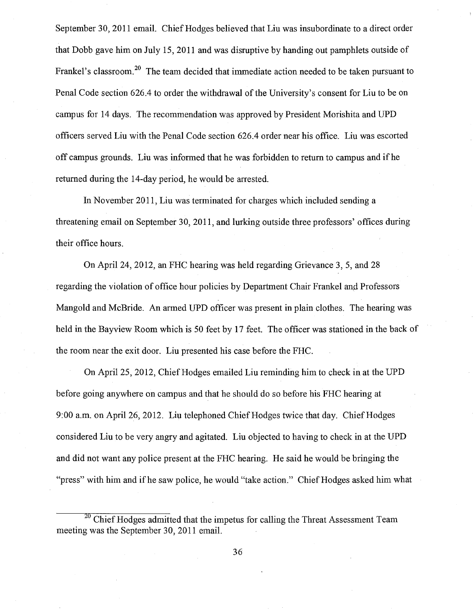September 30, 2011 email. Chief Hodges believed that Liu was insubordinate to a direct order that Dobb gave him on July 15, 2011 and was disruptive by handing out pamphlets outside of Frankel's classroom.<sup>20</sup> The team decided that immediate action needed to be taken pursuant to Penal Code section 626.4 to order the withdrawal of the University's consent for Liu to be on campus for 14 days. The recommendation was approved by President Morishita and UPD officers served Liu with the Penal Code section 626.4 order near his office. Liu was escorted off campus grounds. Liu was informed that he was forbidden to return to campus and if he returned during the 14-day period, he would be arrested.

In November 2011, Liu was terminated for charges which included sending a threatening email on September 30, 2011, and lurking outside three professors' offices during their office hours.

On April 24, 2012, an FHC hearing was held regarding Grievance 3, 5, and 28 regarding the violation of office hour policies by Department Chair Frankel and Professors Mangold and McBride. An armed UPD officer was present in plain clothes. The hearing was held in the Bayview Room which is 50 feet by 17 feet. The officer was stationed in the back of the room near the exit door. Liu presented his case before the FHC.

On April 25, 2012, Chief Hodges emailed Liu reminding him to check in at the UPD before going anywhere on campus and that he should do so before his FHC hearing at 9:00 a.m. on April 26, 2012. Liu telephoned Chief Hodges twice that day. Chief Hodges considered Liu to be very angry and agitated. Liu objected to having to check in at the UPD and did not want any police present at the FHC hearing. He said he would be bringing the 'press" with him and if he saw police, he would "take action." Chief Hodges asked him what

 $20$  Chief Hodges admitted that the impetus for calling the Threat Assessment Team meeting was the September 30, 2011 email.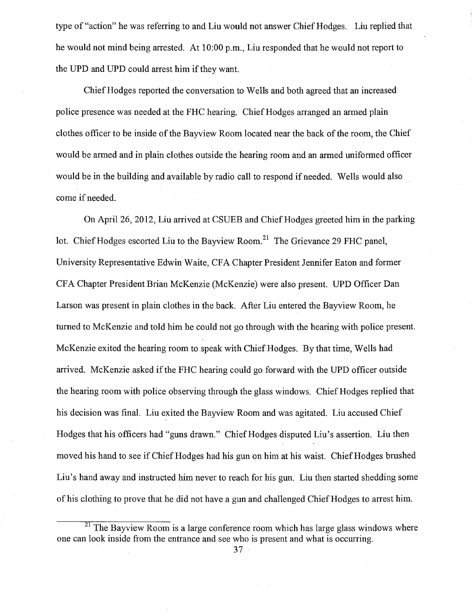type of "action" he was referring to and Liu would not answer Chief Hodges. Liu replied that he would not mind being arrested. At 10:00 p.m., Liu responded that he would not report to the UPD and UPD could arrest him if they want.

Chief Hodges reported the conversation to Wells and both agreed that an increased police presence was needed at the FHC hearing. Chief Hodges arranged an armed plain clothes officer to be inside of the Bayview Room located near the back of the room, the Chief would be armed and in plain clothes outside the hearing room and an armed uniformed officer would be in the building and available by radio call to respond if needed. Wells would also come if needed.

On April 26, 2012, Liu arrived at CSUEB and Chief Hodges greeted him in the parking lot. Chief Hodges escorted Liu to the Bayview Room.<sup>21</sup> The Grievance 29 FHC panel, University Representative Edwin Waite, CFA Chapter President Jennifer Eaton and former CFA Chapter President Brian Mckenzie (Mckenzie) were also present. UPD Officer Dan Larson was present in plain clothes in the back. After Liu entered the Bayview Room, he turned to Mckenzie and told him he could not go through with the hearing with police present. Mckenzie exited the hearing room to speak with Chief Hodges. By that time, Wells had arrived. Mckenzie asked if the FHC hearing could go forward with the UPD officer outside the hearing room with police observing through the glass windows. Chief Hodges replied that his decision was final. Liu exited the Bayview Room and was agitated. Liu accused Chief Hodges that his officers had "guns drawn." Chief Hodges disputed Liu's assertion. Liu then moved his hand to see if Chief Hodges had his gun on him at his waist. Chief Hodges brushed Liu's hand away and instructed him never to reach for his gun. Liu then started shedding some of his clothing to prove that he did not have a gun and challenged Chief Hodges to arrest him.

 $\frac{21}{10}$  The Bayview Room is a large conference room which has large glass windows where one can look inside from the entrance and see who is present and what is occurring.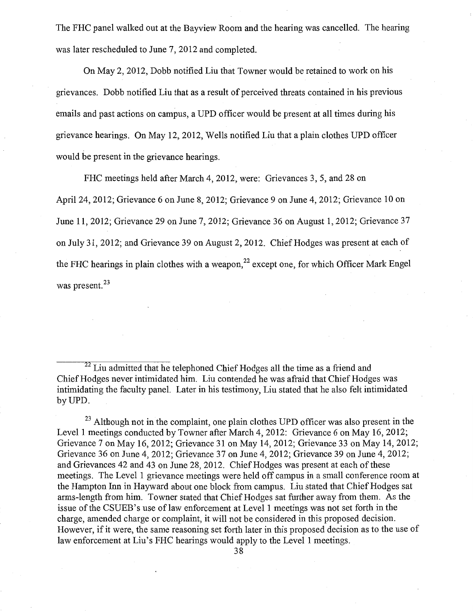The FHC panel walked out at the Bayview Room and the hearing was cancelled. The hearing was later rescheduled to June 7, 2012 and completed.

On May 2, 2012, Dobb notified Liu that Towner would be retained to work on his grievances. Dobb notified Liu that as a result of perceived threats contained in his previous emails and past actions on campus, a UPD officer would be present at all times during his grievance hearings. On May 12, 2012, Wells notified Liu that a plain clothes UPD officer would be present in the grievance hearings.

FHC meetings held after March 4, 2012, were: Grievances 3, 5, and 28 on April 24, 2012; Grievance 6 on June 8, 2012; Grievance 9 on June 4, 2012; Grievance 10 on June 11, 2012; Grievance 29 on June 7, 2012; Grievance 36 on August 1, 2012; Grievance 37 on July 31, 2012; and Grievance 39 on August 2, 2012. Chief Hodges was present at each of the FHC hearings in plain clothes with a weapon, $^{22}$  except one, for which Officer Mark Engel was present.<sup>23</sup>

 $22$  Liu admitted that he telephoned Chief Hodges all the time as a friend and Chief Hodges never intimidated him. Liu contended he was afraid that Chief Hodges was intimidating the faculty panel. Later in his testimony, Liu stated that he also felt intimidated by UPD.

<sup>&</sup>lt;sup>23</sup> Although not in the complaint, one plain clothes UPD officer was also present in the Level 1 meetings conducted by Towner after March 4, 2012: Grievance 6 on May 16, 2012; Grievance 7 on May 16, 2012; Grievance 31 on May 14, 2012; Grievance 33 on May 14, 2012; Grievance 36 on June 4, 2012; Grievance 37 on June 4, 2012; Grievance 39 on June 4, 2012; and Grievances 42 and 43 on June 28, 2012. Chief Hodges was present at each of these meetings. The Level 1 grievance meetings were held off campus in a small conference room at the Hampton Inn in Hayward about one block from campus. Liu stated that Chief Hodges sat arms-length from him. Towner stated that Chief Hodges sat further away from them. As the issue of the CSUEB's use of law enforcement at Level 1 meetings was not set forth in the charge, amended charge or complaint, it will not be considered in this proposed decision. However, if it were, the same reasoning set forth later in this proposed decision as to the use of law enforcement at Liu's FHC hearings would apply to the Level 1 meetings.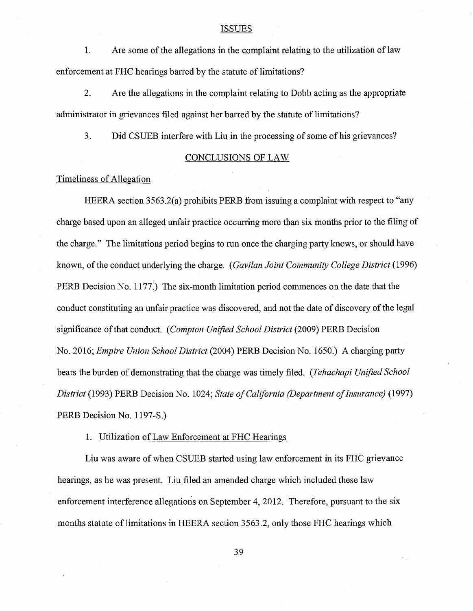#### **ISSUES**

1. Are some of the allegations in the complaint relating to the utilization of law enforcement at FHC hearings barred by the statute of limitations?

2. Are the allegations in the complaint relating to Dobb acting as the appropriate administrator in grievances filed against her barred by the statute of limitations?

3 . Did CSUEB interfere with Liu in the processing of some of his grievances?

### CONCLUSIONS OF LAW

## Timeliness of Allegation

HEERA section 3563.2(a) prohibits PERB from issuing a complaint with respect to "any charge based upon an alleged unfair practice occurring more than six months prior to the filing of the charge." The limitations period begins to run once the charging party knows, or should have known, of the conduct underlying the charge. (Gavilan Joint Community College District (1996) PERB Decision No. 1177.) The six-month limitation period commences on the date that the conduct constituting an unfair practice was discovered, and not the date of discovery of the legal significance of that conduct. (Compton Unified School District (2009) PERB Decision No. 2016; Empire Union School District (2004) PERB Decision No. 1650.) A charging party bears the burden of demonstrating that the charge was timely filed. (Tehachapi Unified School District (1993) PERB Decision No. 1024; State of California (Department of Insurance) (1997) PERB Decision No. 1197-S.)

#### 1. Utilization of Law Enforcement at FHC Hearings

Liu was aware of when CSUEB started using law enforcement in its FHC grievance hearings, as he was present. Liu filed an amended charge which included these law enforcement interference allegations on September 4, 2012. Therefore, pursuant to the six months statute of limitations in HEERA section 3563.2, only those FHC hearings which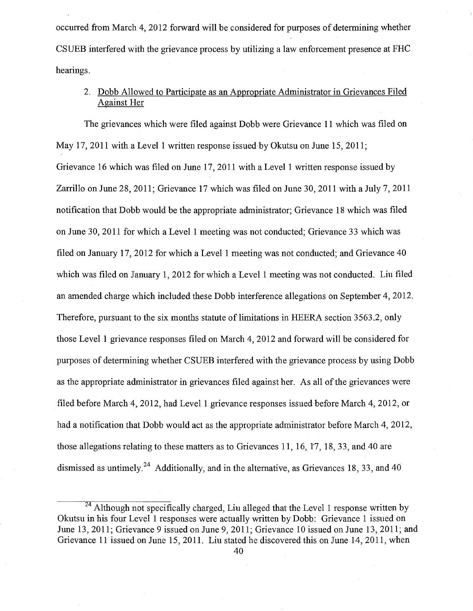occurred from March 4, 2012 forward will be considered for purposes of determining whether CSUEB interfered with the grievance process by utilizing a law enforcement presence at FHC hearings.

# 2. Dobb Allowed to Participate as an Appropriate Administrator in Grievances Filed Against Her

The grievances which were filed against Dobb were Grievance 11 which was filed on May 17, 2011 with a Level 1 written response issued by Okutsu on June 15, 2011; Grievance 16 which was filed on June 17, 2011 with a Level 1 written response issued by Zarrillo on June 28, 2011; Grievance 17 which was filed on June 30, 2011 with a July 7, 2011 notification that Dobb would be the appropriate administrator; Grievance 18 which was filed on June 30, 2011 for which a Level 1 meeting was not conducted; Grievance 33 which was filed on January 17, 2012 for which a Level 1 meeting was not conducted; and Grievance 40 which was filed on January 1, 2012 for which a Level 1 meeting was not conducted. Liu filed an amended charge which included these Dobb interference allegations on September 4, 2012. Therefore, pursuant to the six months statute of limitations in HEERA section 3563.2, only those Level 1 grievance responses filed on March 4, 2012 and forward will be considered for purposes of determining whether CSUEB interfered with the grievance process by using Dobb as the appropriate administrator in grievances filed against her. As all of the grievances were filed before March 4, 2012, had Level 1 grievance responses issued before March 4, 2012, or had a notification that Dobb would act as the appropriate administrator before March 4, 2012, those allegations relating to these matters as to Grievances 11, 16, 17, 18, 33, and 40 are dismissed as untimely.<sup>24</sup> Additionally, and in the alternative, as Grievances 18, 33, and 40

 $^{24}$  Although not specifically charged, Liu alleged that the Level 1 response written by Okutsu in his four Level 1 responses were actually written by Dobb: Grievance 1 issued on June 13, 2011; Grievance 9 issued on June 9, 2011; Grievance 10 issued on June 13, 2011; and Grievance 11 issued on June 15, 2011. Liu stated he discovered this on June 14, 2011, when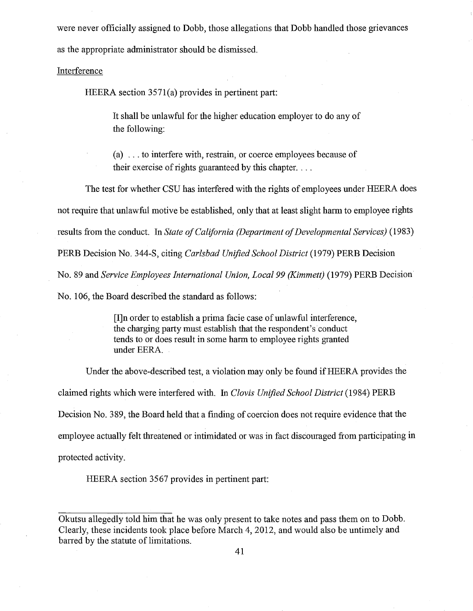were never officially assigned to Dobb, those allegations that Dobb handled those grievances as the appropriate administrator should be dismissed.

### Interference

HEERA section 3571(a) provides in pertinent part:

It shall be unlawful for the higher education employer to do any of the following:

(a) . . . to interfere with, restrain, or coerce employees because of their exercise of rights guaranteed by this chapter. . ..

The test for whether CSU has interfered with the rights of employees under HEERA does not require that unlawful motive be established, only that at least slight harm to employee rights results from the conduct. In State of California (Department of Developmental Services) (1983) PERB Decision No. 344-S, citing Carlsbad Unified School District (1979) PERB Decision No. 89 and Service Employees International Union, Local 99 (Kimmett) (1979) PERB Decision No. 106, the Board described the standard as follows:

> [In order to establish a prima facie case of unlawful interference, the charging party must establish that the respondent's conduct tends to or does result in some harm to employee rights granted under EERA.

Under the above-described test, a violation may only be found if HEERA provides the claimed rights which were interfered with. In Clovis Unified School District (1984) PERB Decision No. 389, the Board held that a finding of coercion does not require evidence that the employee actually felt threatened or intimidated or was in fact discouraged from participating in protected activity.

HEERA section 3567 provides in pertinent part:

Okutsu allegedly told him that he was only present to take notes and pass them on to Dobb. Clearly, these incidents took place before March 4, 2012, and would also be untimely and barred by the statute of limitations.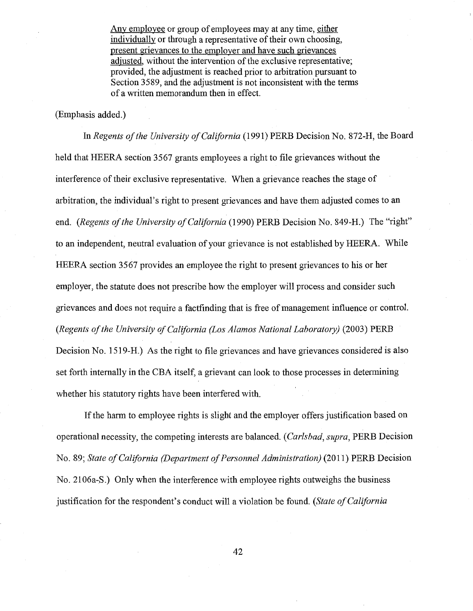Any employee or group of employees may at any time, either individually or through a representative of their own choosing, present grievances to the employer and have such grievances present grievances to the employer and have such grievances adjusted, without the intervention of the exclusive representative; provided, the adjustment is reached prior to arbitration pursuant to Section 3589, and the adjustment is not inconsistent with the terms of a written memorandum then in effect.

### (Emphasis added.)

In Regents of the University of California (1991) PERB Decision No. 872-H, the Board held that HEERA section 3567 grants employees a right to file grievances without the interference of their exclusive representative. When a grievance reaches the stage of arbitration, the individual's right to present grievances and have them adjusted comes to an end. (Regents of the University of California (1990) PERB Decision No. 849-H.) The "right" to an independent, neutral evaluation of your grievance is not established by HEERA. While HEERA section 3567 provides an employee the right to present grievances to his or her employer, the statute does not prescribe how the employer will process and consider such grievances and does not require a factfinding that is free of management influence or control. (Regents of the University of California (Los Alamos National Laboratory) (2003) PERB Decision No. 1519-H.) As the right to file grievances and have grievances considered is also set forth internally in the CBA itself, a grievant can look to those processes in determining whether his statutory rights have been interfered with.

If the harm to employee rights is slight and the employer offers justification based on operational necessity, the competing interests are balanced. (Carlsbad, supra, PERB Decision No. 89; State of California (Department of Personnel Administration) (2011) PERB Decision No. 2106a-S.) Only when the interference with employee rights outweighs the business justification for the respondent's conduct will a violation be found. (State of California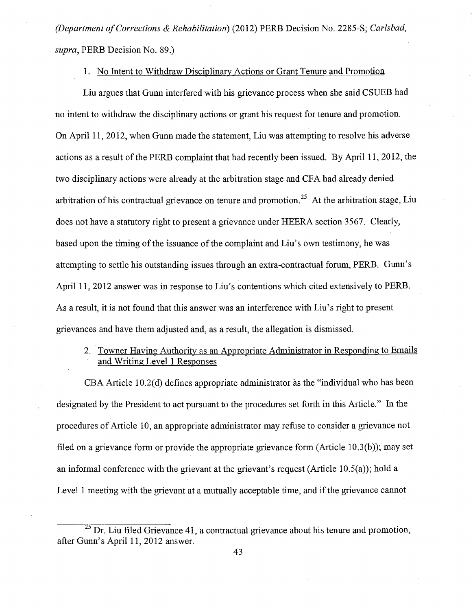(Department of Corrections & Rehabilitation) (2012) PERB Decision No. 2285-S; Carlsbad, supra, PERB Decision No. 89.)

# 1. No Intent to Withdraw Disciplinary Actions or Grant Tenure and Promotion

Liu argues that Gunn interfered with his grievance process when she said CSUEB had no intent to withdraw the disciplinary actions or grant his request for tenure and promotion. On April 11, 2012, when Gunn made the statement, Liu was attempting to resolve his adverse actions as a result of the PERB complaint that had recently been issued. By April 11, 2012, the two disciplinary actions were already at the arbitration stage and CFA had already denied arbitration of his contractual grievance on tenure and promotion.<sup>25</sup> At the arbitration stage, Liu does not have a statutory right to present a grievance under HEERA section 3567. Clearly, based upon the timing of the issuance of the complaint and Liu's own testimony, he was attempting to settle his outstanding issues through an extra-contractual forum, PERB. Gunn's April 11, 2012 answer was in response to Liu's contentions which cited extensively to PERB. As a result, it is not found that this answer was an interference with Liu's right to present grievances and have them adjusted and, as a result, the allegation is dismissed.

# 2. Towner Having Authority as an Appropriate Administrator in Responding to Emails and Writing Level 1 Responses

CBA Article 10.2(d) defines appropriate administrator as the "individual who has been designated by the President to act pursuant to the procedures set forth in this Article." In the procedures of Article 10, an appropriate administrator may refuse to consider a grievance not filed on a grievance form or provide the appropriate grievance form (Article 10.3(b)); may set an informal conference with the grievant at the grievant's request (Article 10.5(a)); hold a Level I meeting with the grievant at a mutually acceptable time, and if the grievance cannot

 $^{25}$  Dr. Liu filed Grievance 41, a contractual grievance about his tenure and promotion, after Gunn's April 11, 2012 answer.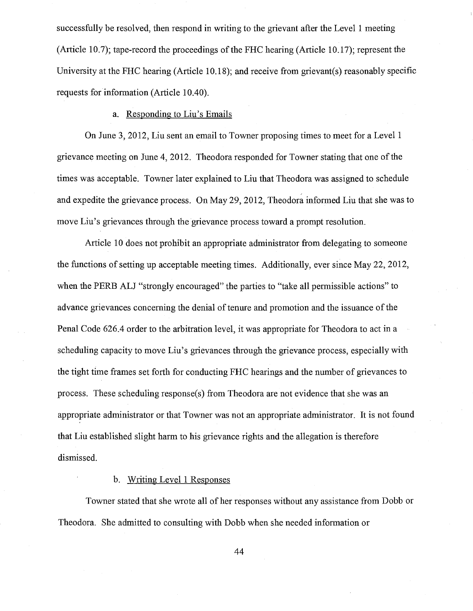successfully be resolved, then respond in writing to the grievant after the Level 1 meeting (Article 10.7); tape-record the proceedings of the FHC hearing (Article 10.17); represent the University at the FHC hearing (Article 10.18); and receive from grievant(s) reasonably specific requests for information (Article 10.40).

## a. Responding to Liu's Emails

On June 3, 2012, Liu sent an email to Towner proposing times to meet for a Level 1 grievance meeting on June 4, 2012. Theodora responded for Towner stating that one of the times was acceptable. Towner later explained to Liu that Theodora was assigned to schedule and expedite the grievance process. On May 29, 2012, Theodora informed Liu that she was to move Liu's grievances through the grievance process toward a prompt resolution.

Article 10 does not prohibit an appropriate administrator from delegating to someone the functions of setting up acceptable meeting times. Additionally, ever since May 22, 2012, when the PERB ALJ "strongly encouraged" the parties to "take all permissible actions" to advance grievances concerning the denial of tenure and promotion and the issuance of the Penal Code 626.4 order to the arbitration level, it was appropriate for Theodora to act in a scheduling capacity to move Liu's grievances through the grievance process, especially with the tight time frames set forth for conducting FHC hearings and the number of grievances to process. These scheduling response(s) from Theodora are not evidence that she was an appropriate administrator or that Towner was not an appropriate administrator. It is not found that Liu established slight harm to his grievance rights and the allegation is therefore dismissed.

## b. Writing Level 1 Responses

Towner stated that she wrote all of her responses without any assistance from Dobb or Theodora. She admitted to consulting with Dobb when she needed information or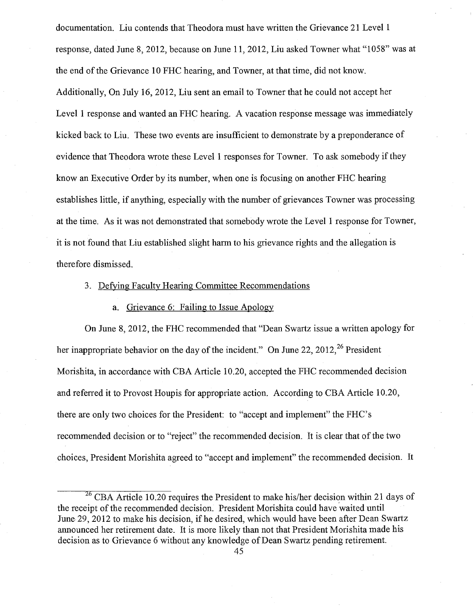documentation. Liu contends that Theodora must have written the Grievance 21 Level 1 response, dated June 8, 2012, because on June 11, 2012, Liu asked Towner what "1058" was at the end of the Grievance 10 FHC hearing, and Towner, at that time, did not know. Additionally, On July 16, 2012, Liu sent an email to Towner that he could not accept her Level 1 response and wanted an FHC hearing. A vacation response message was immediately kicked back to Liu. These two events are insufficient to demonstrate by a preponderance of evidence that Theodora wrote these Level 1 responses for Towner. To ask somebody if they know an Executive Order by its number, when one is focusing on another FHC hearing establishes little, if anything, especially with the number of grievances Towner was processing at the time. As it was not demonstrated that somebody wrote the Level 1 response for Towner, it is not found that Liu established slight harm to his grievance rights and the allegation is therefore dismissed.

## 3. Defying Faculty Hearing Committee Recommendations

## a. Grievance 6: Failing to Issue Apology

On June 8, 2012, the FHC recommended that "Dean Swartz issue a written apology for her inappropriate behavior on the day of the incident." On June 22, 2012,  $^{26}$  President Morishita, in accordance with CBA Article 10.20, accepted the FHC recommended decision and referred it to Provost Houpis for appropriate action. According to CBA Article 10.20, there are only two choices for the President: to "accept and implement" the FHC's recommended decision or to "reject" the recommended decision. It is clear that of the two choices, President Morishita agreed to "accept and implement" the recommended decision. It

 $^{26}$  CBA Article 10.20 requires the President to make his/her decision within 21 days of the receipt of the recommended decision. President Morishita could have waited until June 29, 2012 to make his decision, if he desired, which would have been after Dean Swartz announced her retirement date. It is more likely than not that President Morishita made his decision as to Grievance 6 without any knowledge of Dean Swartz pending retirement.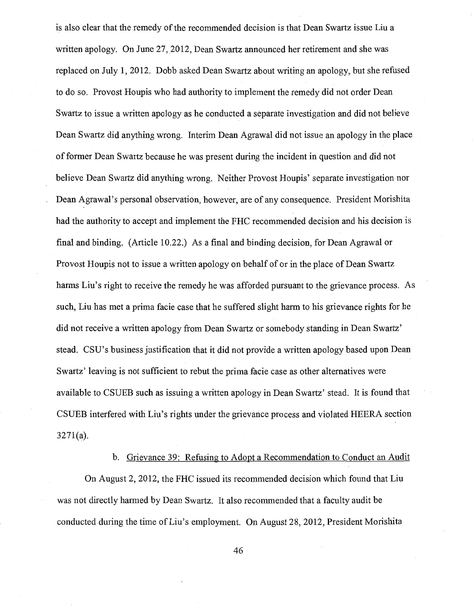is also clear that the remedy of the recommended decision is that Dean Swartz issue Liu a written apology. On June 27, 2012, Dean Swartz announced her retirement and she was replaced on July 1, 2012. Dobb asked Dean Swartz about writing an apology, but she refused to do so. Provost Houpis who had authority to implement the remedy did not order Dean Swartz to issue a written apology as he conducted a separate investigation and did not believe Dean Swartz did anything wrong. Interim Dean Agrawal did not issue an apology in the place of former Dean Swartz because he was present during the incident in question and did not believe Dean Swartz did anything wrong. Neither Provost Houpis' separate investigation nor Dean Agrawal's personal observation, however, are of any consequence. President Morishita had the authority to accept and implement the FHC recommended decision and his decision is final and binding. (Article 10.22.) As a final and binding decision, for Dean Agrawal or Provost Houpis not to issue a written apology on behalf of or in the place of Dean Swartz harms Liu's right to receive the remedy he was afforded pursuant to the grievance process. As such, Liu has met a prima facie case that he suffered slight harm to his grievance rights for he did not receive a written apology from Dean Swartz or somebody standing in Dean Swartz' stead. CSU's business justification that it did not provide a written apology based upon Dean Swartz' leaving is not sufficient to rebut the prima facie case as other alternatives were available to CSUEB such as issuing a written apology in Dean Swartz' stead. It is found that CSUEB interfered with Liu's rights under the grievance process and violated HEERA section 3271(a).

#### b. Grievance 39: Refusing to Adopt a Recommendation to Conduct an Audit

On August 2, 2012, the FHC issued its recommended decision which found that Liu was not directly harmed by Dean Swartz. It also recommended that a faculty audit be conducted during the time of Liu's employment. On August 28, 2012, President Morishita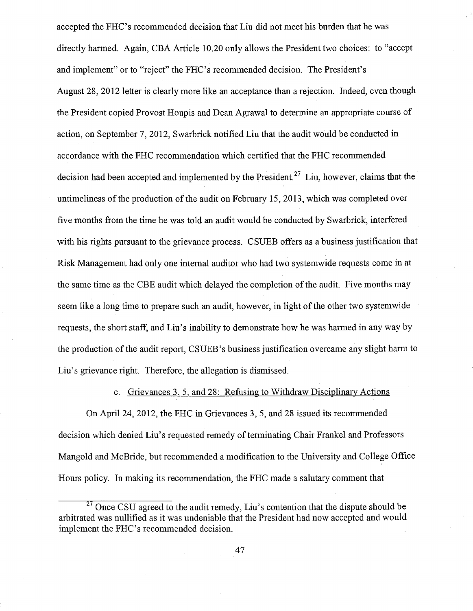accepted the FHC's recommended decision that Liu did not meet his burden that he was directly harmed. Again, CBA Article 10.20 only allows the President two choices: to "accept and implement" or to "reject" the FHC's recommended decision. The President's August 28, 2012 letter is clearly more like an acceptance than a rejection. Indeed, even though the President copied Provost Houpis and Dean Agrawal to determine an appropriate course of action, on September 7, 2012, Swarbrick notified Liu that the audit would be conducted in accordance with the FHC recommendation which certified that the FHC recommended decision had been accepted and implemented by the President.<sup>27</sup> Liu, however, claims that the untimeliness of the production of the audit on February 15, 2013, which was completed over five months from the time he was told an audit would be conducted by Swarbrick, interfered with his rights pursuant to the grievance process. CSUEB offers as a business justification that Risk Management had only one internal auditor who had two systemwide requests come in at the same time as the CBE audit which delayed the completion of the audit. Five months may seem like a long time to prepare such an audit, however, in light of the other two systemwide requests, the short staff, and Liu's inability to demonstrate how he was harmed in any way by the production of the audit report, CSUEB's business justification overcame any slight harm to Liu's grievance right. Therefore, the allegation is dismissed.

c. Grievances 3. 5, and 28: Refusing to Withdraw Disciplinary Actions

On April 24, 2012, the FHC in Grievances 3, 5, and 28 issued its recommended decision which denied Liu's requested remedy of terminating Chair Frankel and Professors Mangold and McBride, but recommended a modification to the University and College Office Hours policy. In making its recommendation, the FHC made a salutary comment that

 $\frac{27}{27}$  Once CSU agreed to the audit remedy. Liu's contention that the dispute should be arbitrated was nullified as it was undeniable that the President had now accepted and would implement the FHC's recommended decision.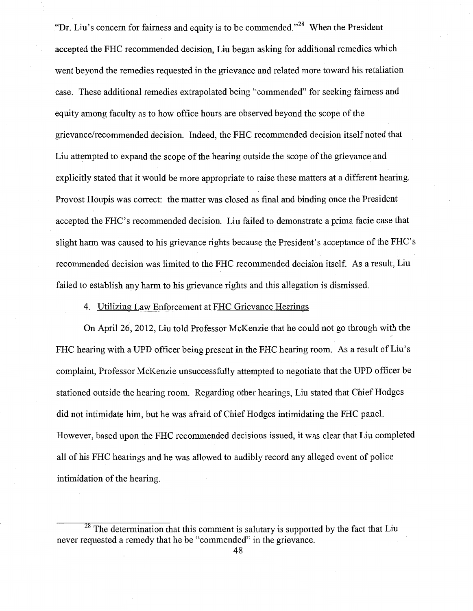"Dr. Liu's concern for fairness and equity is to be commended."<sup>28</sup> When the President accepted the FHC recommended decision, Liu began asking for additional remedies which went beyond the remedies requested in the grievance and related more toward his retaliation case. These additional remedies extrapolated being "commended" for seeking fairness and equity among faculty as to how office hours are observed beyond the scope of the grievance/recommended decision. Indeed, the FHC recommended decision itself noted that Liu attempted to expand the scope of the hearing outside the scope of the grievance and explicitly stated that it would be more appropriate to raise these matters at a different hearing. Provost Houpis was correct: the matter was closed as final and binding once the President accepted the FHC's recommended decision. Liu failed to demonstrate a prima facie case that slight harm was caused to his grievance rights because the President's acceptance of the FHC's recommended decision was limited to the FHC recommended decision itself. As a result, Liu failed to establish any harm to his grievance rights and this allegation is dismissed.

## 4. Utilizing Law Enforcement at FHC Grievance Hearings

On April 26, 2012, Liu told Professor Mckenzie that he could not go through with the FHC hearing with a UPD officer being present in the FHC hearing room. As a result of Liu's complaint, Professor Mckenzie unsuccessfully attempted to negotiate that the UPD officer be stationed outside the hearing room. Regarding other hearings, Liu stated that Chief Hodges did not intimidate him, but he was afraid of Chief Hodges intimidating the FHC panel. However, based upon the FHC recommended decisions issued, it was clear that Liu completed all of his FHC hearings and he was allowed to audibly record any alleged event of police intimidation of the hearing.

 $^{28}$  The determination that this comment is salutary is supported by the fact that Liu never requested a remedy that he be "commended" in the grievance.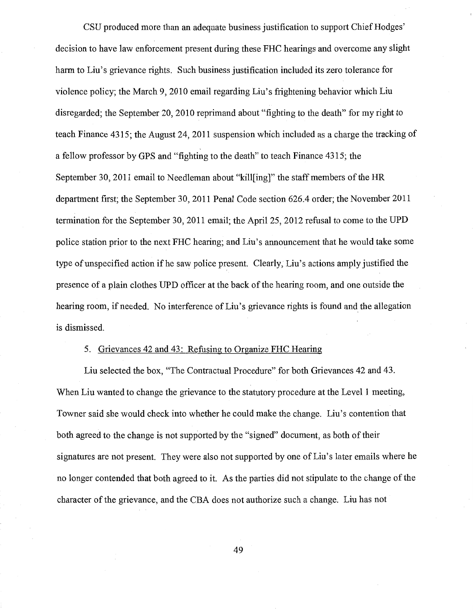CSU produced more than an adequate business justification to support Chief Hodges' decision to have law enforcement present during these FHC hearings and overcome any slight harm to Liu's grievance rights. Such business justification included its zero tolerance for violence policy; the March 9, 2010 email regarding Liu's frightening behavior which Liu disregarded; the September 20, 2010 reprimand about "fighting to the death" for my right to teach Finance 4315; the August 24, 2011 suspension which included as a charge the tracking of a fellow professor by GPS and "fighting to the death" to teach Finance 4315; the September 30, 2011 email to Needleman about "kill[ing]" the staff members of the HR department first; the September 30, 2011 Penal Code section 626.4 order; the November 2011 termination for the September 30, 2011 email; the April 25, 2012 refusal to come to the UPD police station prior to the next FHC hearing; and Liu's announcement that he would take some type of unspecified action if he saw police present. Clearly, Liu's actions amply justified the presence of a plain clothes UPD officer at the back of the hearing room, and one outside the hearing room, if needed. No interference of Liu's grievance rights is found and the allegation is dismissed.

## 5. Grievances 42 and 43: Refusing to Organize FHC Hearing

Liu selected the box, "The Contractual Procedure" for both Grievances 42 and 43. When Liu wanted to change the grievance to the statutory procedure at the Level 1 meeting, Towner said she would check into whether he could make the change. Liu's contention that both agreed to the change is not supported by the "signed" document, as both of their signatures are not present. They were also not supported by one of Liu's later emails where he no longer contended that both agreed to it. As the parties did not stipulate to the change of the character of the grievance, and the CBA does not authorize such a change. Liu has not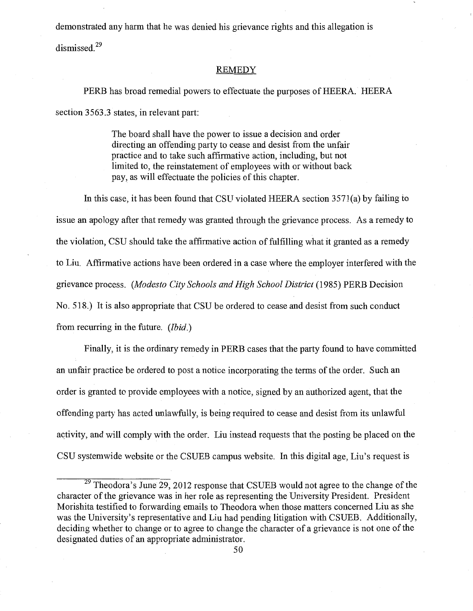demonstrated any harm that he was denied his grievance rights and this allegation is

dismissed. 29

#### REMEDY

PERB has broad remedial powers to effectuate the purposes of HEERA. HEERA section 3563.3 states, in relevant part:

> The board shall have the power to issue a decision and order directing an offending party to cease and desist from the unfair practice and to take such affirmative action, including, but not limited to, the reinstatement of employees with or without back pay, as will effectuate the policies of this chapter.

In this case, it has been found that CSU violated HEERA section 3571(a) by failing to issue an apology after that remedy was granted through the grievance process. As a remedy to the violation, CSU should take the affirmative action of fulfilling what it granted as a remedy to Liu. Affirmative actions have been ordered in a case where the employer interfered with the grievance process. (Modesto City Schools and High School District (1985) PERB Decision No. 518.) It is also appropriate that CSU be ordered to cease and desist from such conduct from recurring in the future. (Ibid.)

Finally, it is the ordinary remedy in PERB cases that the party found to have committed an unfair practice be ordered to post a notice incorporating the terms of the order. Such an order is granted to provide employees with a notice, signed by an authorized agent, that the offending party has acted unlawfully, is being required to cease and desist from its unlawful activity, and will comply with the order. Liu instead requests that the posting be placed on the CSU systemwide website or the CSUEB campus website. In this digital age, Liu's request is

<sup>&</sup>lt;sup>29</sup> Theodora's June 29, 2012 response that CSUEB would not agree to the change of the character of the grievance was in her role as representing the University President. President Morishita testified to forwarding emails to Theodora when those matters concerned Liu as she was the University's representative and Liu had pending litigation with CSUEB. Additionally, deciding whether to change or to agree to change the character of a grievance is not one of the designated duties of an appropriate administrator.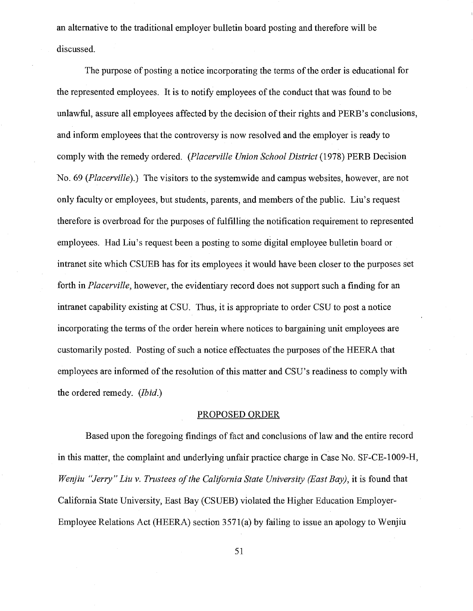an alternative to the traditional employer bulletin board posting and therefore will be discussed.

The purpose of posting a notice incorporating the terms of the order is educational for the represented employees. It is to notify employees of the conduct that was found to be unlawful, assure all employees affected by the decision of their rights and PERB's conclusions, and inform employees that the controversy is now resolved and the employer is ready to comply with the remedy ordered. (Placerville Union School District (1978) PERB Decision No. 69 (Placerville).) The visitors to the systemwide and campus websites, however, are not only faculty or employees, but students, parents, and members of the public. Liu's request therefore is overbroad for the purposes of fulfilling the notification requirement to represented employees. Had Liu's request been a posting to some digital employee bulletin board or intranet site which CSUEB has for its employees it would have been closer to the purposes set forth in Placerville, however, the evidentiary record does not support such a finding for an intranet capability existing at CSU. Thus, it is appropriate to order CSU to post a notice incorporating the terms of the order herein where notices to bargaining unit employees are customarily posted. Posting of such a notice effectuates the purposes of the HEERA that employees are informed of the resolution of this matter and CSU's readiness to comply with the ordered remedy. (Ibid.)

## PROPOSED ORDER

Based upon the foregoing findings of fact and conclusions of law and the entire record in this matter, the complaint and underlying unfair practice charge in Case No. SF-CE-1009-H, Wenjiu "Jerry" Liu v. Trustees of the California State University (East Bay), it is found that California State University, East Bay (CSUEB) violated the Higher Education Employer-Employee Relations Act (HEERA) section 3571(a) by failing to issue an apology to Wenjiu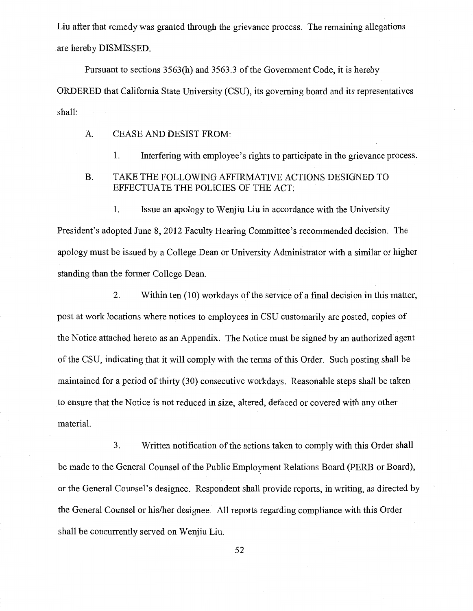Liu after that remedy was granted through the grievance process. The remaining allegations are hereby DISMISSED.

Pursuant to sections 3563(h) and 3563.3 of the Government Code, it is hereby ORDERED that California State University (CSU), its governing board and its representatives shall:

A. CEASE AND DESIST FROM:

1. Interfering with employee's rights to participate in the grievance process.

# B. TAKE THE FOLLOWING AFFIRMATIVE ACTIONS DESIGNED TO EFFECTUATE THE POLICIES OF THE ACT:

1. Issue an apology to Wenjiu Liu in accordance with the University President's adopted June 8, 2012 Faculty Hearing Committee's recommended decision. The apology must be issued by a College Dean or University Administrator with a similar or higher standing than the former College Dean.

2. Within ten (10) workdays of the service of a final decision in this matter, post at work locations where notices to employees in CSU customarily are posted, copies of the Notice attached hereto as an Appendix. The Notice must be signed by an authorized agent of the CSU, indicating that it will comply with the terms of this Order. Such posting shall be maintained for a period of thirty (30) consecutive workdays. Reasonable steps shall be taken to ensure that the Notice is not reduced in size, altered, defaced or covered with any other material.

3 . Written notification of the actions taken to comply with this Order shall be made to the General Counsel of the Public Employment Relations Board (PERB or Board), or the General Counsel's designee. Respondent shall provide reports, in writing, as directed by the General Counsel or his/her designee. All reports regarding compliance with this Order shall be concurrently served on Wenjiu Liu.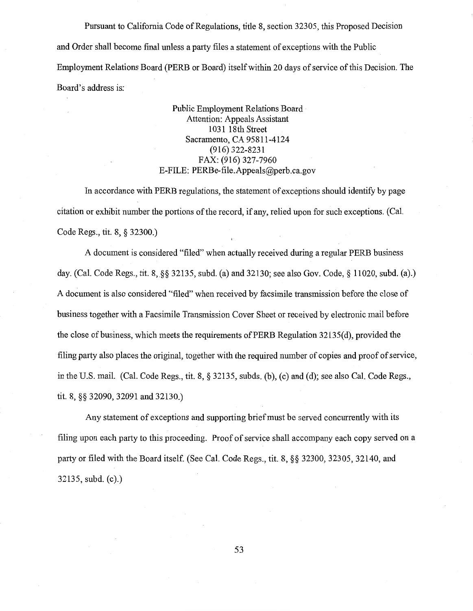Pursuant to California Code of Regulations, title 8, section 32305, this Proposed Decision and Order shall become final unless a party files a statement of exceptions with the Public Employment Relations Board (PERB or Board) itself within 20 days of service of this Decision. The Board's address is:

> Public Employment Relations Board Attention: Appeals Assistant 1031 18th Street Sacramento, CA 95811-4124 (916) 322-8231 FAX: (916) 327-7960 E-FILE: [PERBe-file.Appeals@perb.ca.gov](mailto:PERBe-file.Appeals@perb.ca.gov)

In accordance with PERB regulations, the statement of exceptions should identify by page citation or exhibit number the portions of the record, if any, relied upon for such exceptions. (Cal. Code Regs., tit. 8, \$ 32300.)

A document is considered "filed" when actually received during a regular PERB business day. (Cal. Code Regs., tit. 8, \$8 32135, subd. (a) and 32130; see also Gov. Code, \$ 11020, subd. (a).) A document is also considered "filed" when received by facsimile transmission before the close of business together with a Facsimile Transmission Cover Sheet or received by electronic mail before the close of business, which meets the requirements of PERB Regulation 32135(d), provided the filing party also places the original, together with the required number of copies and proof of service, in the U.S. mail. (Cal. Code Regs., tit. 8, \$ 32135, subds. (b), (c) and (d); see also Cal. Code Regs., tit. 8, \$8 32090, 32091 and 32130.)

Any statement of exceptions and supporting brief must be served concurrently with its filing upon each party to this proceeding. Proof of service shall accompany each copy served on a party or filed with the Board itself. (See Cal. Code Regs., tit. 8, \$5 32300, 32305, 32140, and 32135, subd. (c).)